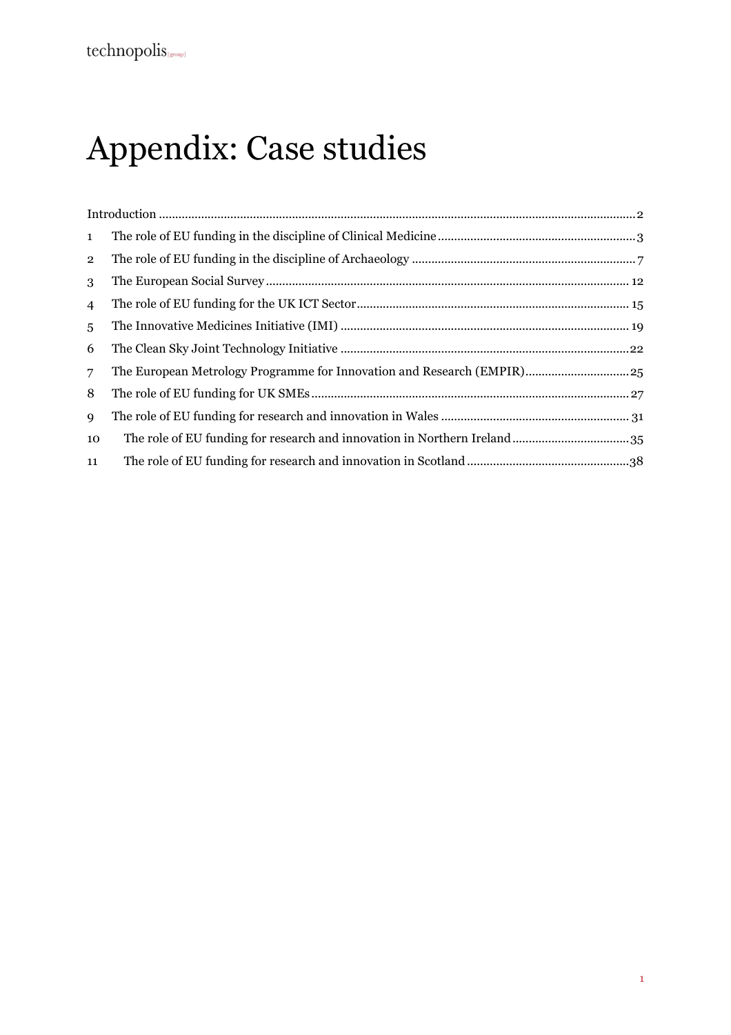# Appendix: Case studies

| $\mathbf{1}$   |  |
|----------------|--|
| $\mathbf{2}$   |  |
| 3              |  |
| $\overline{4}$ |  |
| 5              |  |
| 6              |  |
| $\overline{7}$ |  |
| 8              |  |
| $\mathbf Q$    |  |
| 10             |  |
| 11             |  |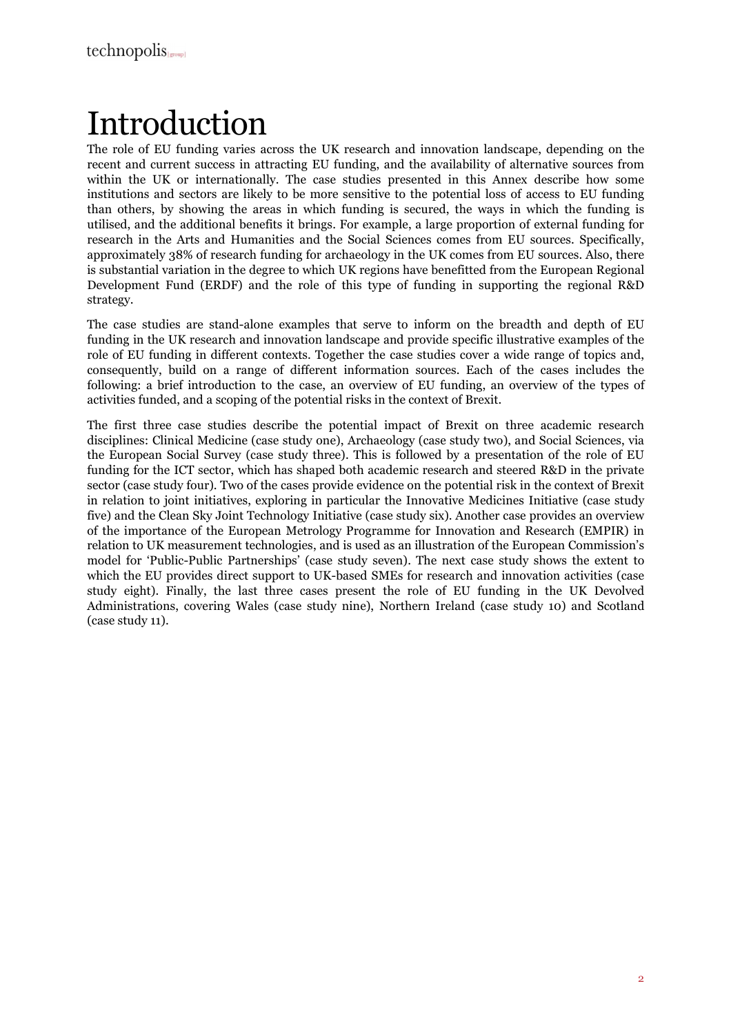## Introduction

The role of EU funding varies across the UK research and innovation landscape, depending on the recent and current success in attracting EU funding, and the availability of alternative sources from within the UK or internationally. The case studies presented in this Annex describe how some institutions and sectors are likely to be more sensitive to the potential loss of access to EU funding than others, by showing the areas in which funding is secured, the ways in which the funding is utilised, and the additional benefits it brings. For example, a large proportion of external funding for research in the Arts and Humanities and the Social Sciences comes from EU sources. Specifically, approximately 38% of research funding for archaeology in the UK comes from EU sources. Also, there is substantial variation in the degree to which UK regions have benefitted from the European Regional Development Fund (ERDF) and the role of this type of funding in supporting the regional R&D strategy.

The case studies are stand-alone examples that serve to inform on the breadth and depth of EU funding in the UK research and innovation landscape and provide specific illustrative examples of the role of EU funding in different contexts. Together the case studies cover a wide range of topics and, consequently, build on a range of different information sources. Each of the cases includes the following: a brief introduction to the case, an overview of EU funding, an overview of the types of activities funded, and a scoping of the potential risks in the context of Brexit.

The first three case studies describe the potential impact of Brexit on three academic research disciplines: Clinical Medicine (case study one), Archaeology (case study two), and Social Sciences, via the European Social Survey (case study three). This is followed by a presentation of the role of EU funding for the ICT sector, which has shaped both academic research and steered R&D in the private sector (case study four). Two of the cases provide evidence on the potential risk in the context of Brexit in relation to joint initiatives, exploring in particular the Innovative Medicines Initiative (case study five) and the Clean Sky Joint Technology Initiative (case study six). Another case provides an overview of the importance of the European Metrology Programme for Innovation and Research (EMPIR) in relation to UK measurement technologies, and is used as an illustration of the European Commission's model for 'Public-Public Partnerships' (case study seven). The next case study shows the extent to which the EU provides direct support to UK-based SMEs for research and innovation activities (case study eight). Finally, the last three cases present the role of EU funding in the UK Devolved Administrations, covering Wales (case study nine), Northern Ireland (case study 10) and Scotland (case study 11).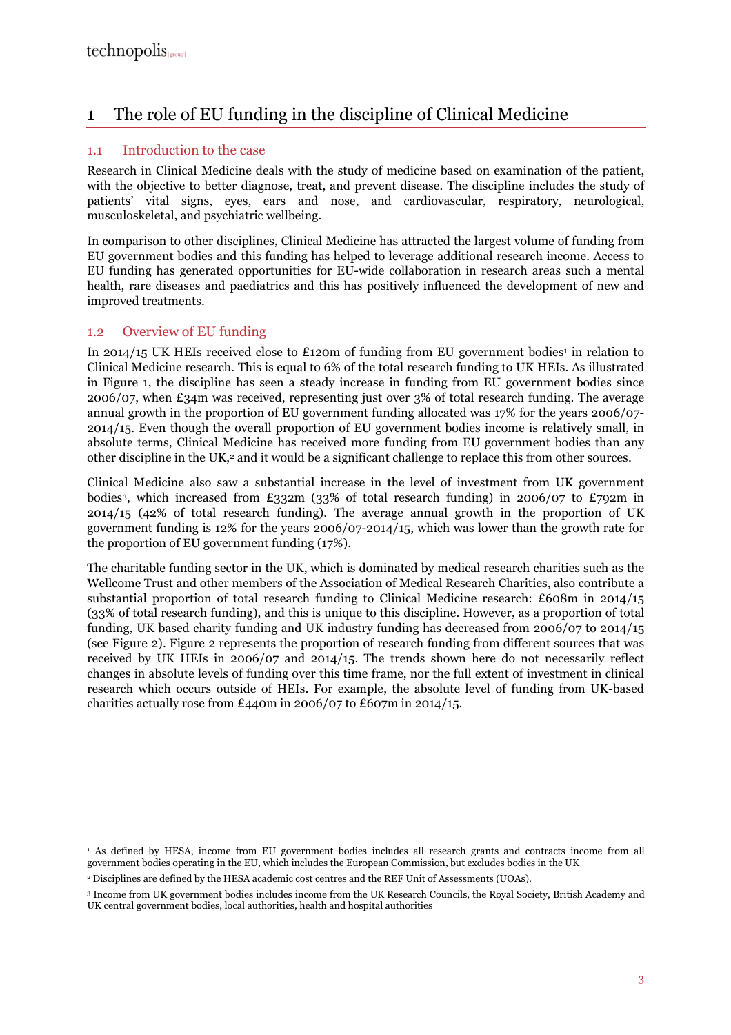## 1 The role of EU funding in the discipline of Clinical Medicine

#### 1.1 Introduction to the case

Research in Clinical Medicine deals with the study of medicine based on examination of the patient, with the objective to better diagnose, treat, and prevent disease. The discipline includes the study of patients' vital signs, eyes, ears and nose, and cardiovascular, respiratory, neurological, musculoskeletal, and psychiatric wellbeing.

In comparison to other disciplines, Clinical Medicine has attracted the largest volume of funding from EU government bodies and this funding has helped to leverage additional research income. Access to EU funding has generated opportunities for EU-wide collaboration in research areas such a mental health, rare diseases and paediatrics and this has positively influenced the development of new and improved treatments.

#### 1.2 Overview of EU funding

 $\overline{a}$ 

In 2014/15 UK HEIs received close to £120m of funding from EU government bodies<sup>1</sup> in relation to Clinical Medicine research. This is equal to 6% of the total research funding to UK HEIs. As illustrated in Figure 1, the discipline has seen a steady increase in funding from EU government bodies since 2006/07, when £34m was received, representing just over 3% of total research funding. The average annual growth in the proportion of EU government funding allocated was 17% for the years 2006/07- 2014/15. Even though the overall proportion of EU government bodies income is relatively small, in absolute terms, Clinical Medicine has received more funding from EU government bodies than any other discipline in the UK,<sup>2</sup> and it would be a significant challenge to replace this from other sources.

Clinical Medicine also saw a substantial increase in the level of investment from UK government bodies3, which increased from £332m (33% of total research funding) in 2006/07 to £792m in 2014/15 (42% of total research funding). The average annual growth in the proportion of UK government funding is 12% for the years 2006/07-2014/15, which was lower than the growth rate for the proportion of EU government funding (17%).

The charitable funding sector in the UK, which is dominated by medical research charities such as the Wellcome Trust and other members of the Association of Medical Research Charities, also contribute a substantial proportion of total research funding to Clinical Medicine research: £608m in 2014/15 (33% of total research funding), and this is unique to this discipline. However, as a proportion of total funding, UK based charity funding and UK industry funding has decreased from 2006/07 to 2014/15 (see Figure 2). Figure 2 represents the proportion of research funding from different sources that was received by UK HEIs in 2006/07 and 2014/15. The trends shown here do not necessarily reflect changes in absolute levels of funding over this time frame, nor the full extent of investment in clinical research which occurs outside of HEIs. For example, the absolute level of funding from UK-based charities actually rose from £440m in 2006/07 to £607m in 2014/15.

<sup>1</sup> As defined by HESA, income from EU government bodies includes all research grants and contracts income from all government bodies operating in the EU, which includes the European Commission, but excludes bodies in the UK

<sup>2</sup> Disciplines are defined by the HESA academic cost centres and the REF Unit of Assessments (UOAs).

<sup>3</sup> Income from UK government bodies includes income from the UK Research Councils, the Royal Society, British Academy and UK central government bodies, local authorities, health and hospital authorities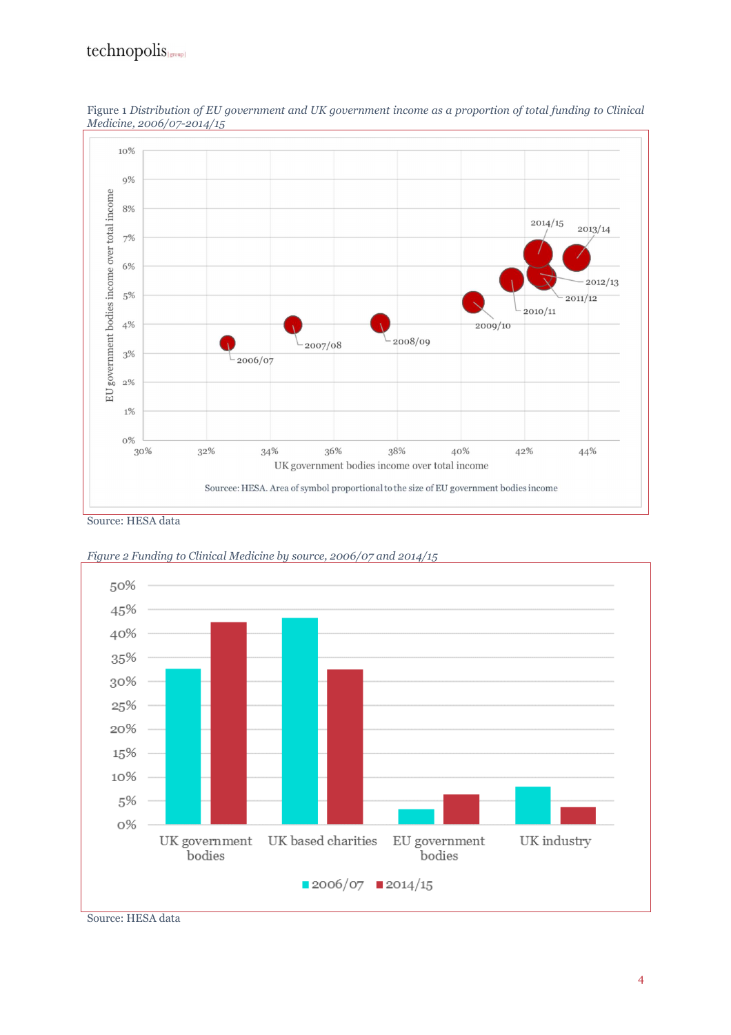## $technopolis_{\text{[group]}}$



Figure 1 *Distribution of EU government and UK government income as a proportion of total funding to Clinical Medicine, 2006/07-2014/15* 

Source: HESA data



*Figure 2 Funding to Clinical Medicine by source, 2006/07 and 2014/15* 

Source: HESA data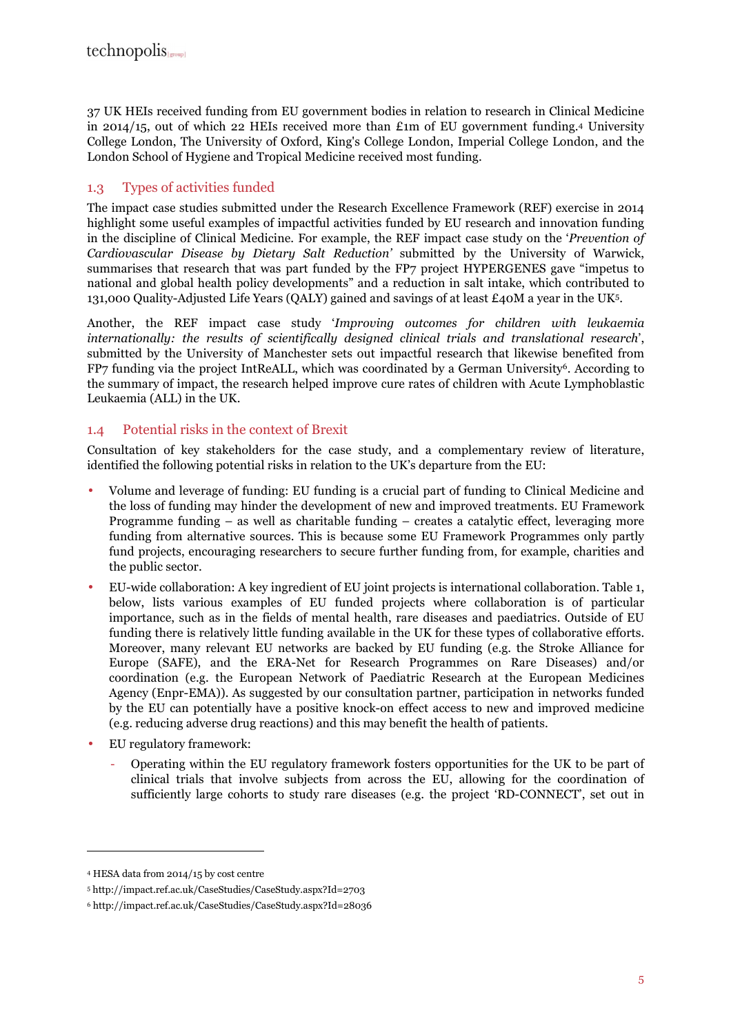37 UK HEIs received funding from EU government bodies in relation to research in Clinical Medicine in 2014/15, out of which 22 HEIs received more than £1m of EU government funding.4 University College London, The University of Oxford, King's College London, Imperial College London, and the London School of Hygiene and Tropical Medicine received most funding.

#### 1.3 Types of activities funded

The impact case studies submitted under the Research Excellence Framework (REF) exercise in 2014 highlight some useful examples of impactful activities funded by EU research and innovation funding in the discipline of Clinical Medicine. For example, the REF impact case study on the '*Prevention of Cardiovascular Disease by Dietary Salt Reduction'* submitted by the University of Warwick, summarises that research that was part funded by the FP7 project HYPERGENES gave "impetus to national and global health policy developments" and a reduction in salt intake, which contributed to 131,000 Quality-Adjusted Life Years (QALY) gained and savings of at least £40M a year in the UK5.

Another, the REF impact case study '*Improving outcomes for children with leukaemia internationally: the results of scientifically designed clinical trials and translational research*', submitted by the University of Manchester sets out impactful research that likewise benefited from FP7 funding via the project IntReALL, which was coordinated by a German University6. According to the summary of impact, the research helped improve cure rates of children with Acute Lymphoblastic Leukaemia (ALL) in the UK.

#### 1.4 Potential risks in the context of Brexit

Consultation of key stakeholders for the case study, and a complementary review of literature, identified the following potential risks in relation to the UK's departure from the EU:

- Volume and leverage of funding: EU funding is a crucial part of funding to Clinical Medicine and the loss of funding may hinder the development of new and improved treatments. EU Framework Programme funding – as well as charitable funding – creates a catalytic effect, leveraging more funding from alternative sources. This is because some EU Framework Programmes only partly fund projects, encouraging researchers to secure further funding from, for example, charities and the public sector.
- EU-wide collaboration: A key ingredient of EU joint projects is international collaboration. Table 1, below, lists various examples of EU funded projects where collaboration is of particular importance, such as in the fields of mental health, rare diseases and paediatrics. Outside of EU funding there is relatively little funding available in the UK for these types of collaborative efforts. Moreover, many relevant EU networks are backed by EU funding (e.g. the Stroke Alliance for Europe (SAFE), and the ERA-Net for Research Programmes on Rare Diseases) and/or coordination (e.g. the European Network of Paediatric Research at the European Medicines Agency (Enpr-EMA)). As suggested by our consultation partner, participation in networks funded by the EU can potentially have a positive knock-on effect access to new and improved medicine (e.g. reducing adverse drug reactions) and this may benefit the health of patients.
- EU regulatory framework:
	- Operating within the EU regulatory framework fosters opportunities for the UK to be part of clinical trials that involve subjects from across the EU, allowing for the coordination of sufficiently large cohorts to study rare diseases (e.g. the project 'RD-CONNECT', set out in

<sup>4</sup> HESA data from 2014/15 by cost centre

<sup>5</sup> http://impact.ref.ac.uk/CaseStudies/CaseStudy.aspx?Id=2703

<sup>6</sup> http://impact.ref.ac.uk/CaseStudies/CaseStudy.aspx?Id=28036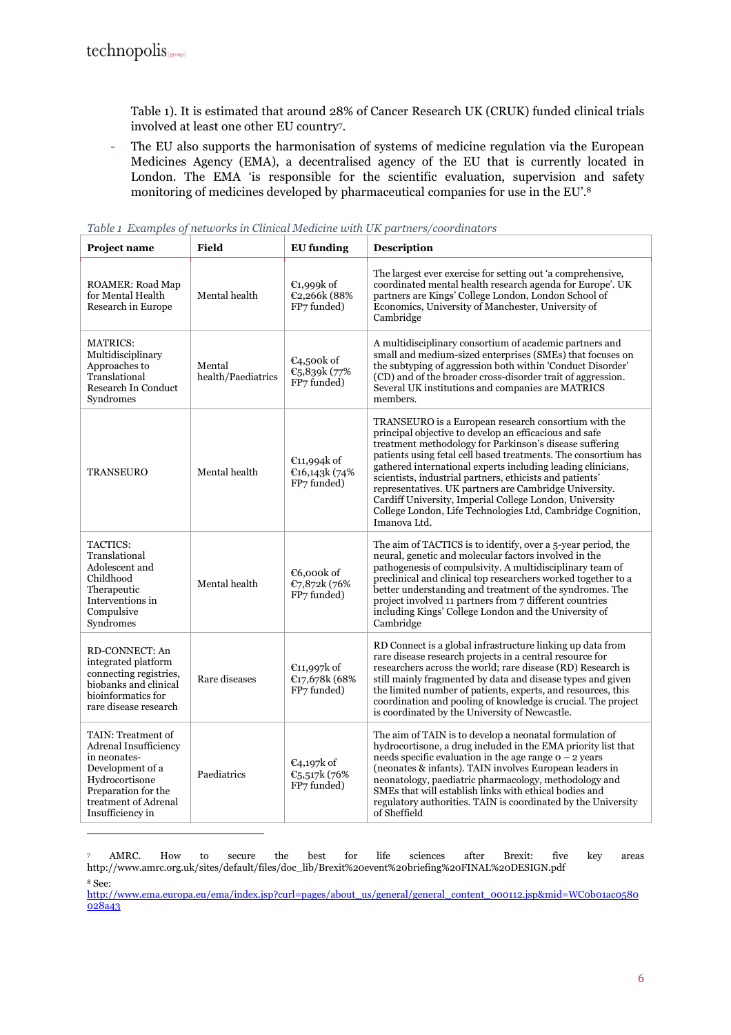$\overline{a}$ 

Table 1). It is estimated that around 28% of Cancer Research UK (CRUK) funded clinical trials involved at least one other EU country<sup>7</sup> .

- The EU also supports the harmonisation of systems of medicine regulation via the European Medicines Agency (EMA), a decentralised agency of the EU that is currently located in London. The EMA 'is responsible for the scientific evaluation, supervision and safety monitoring of medicines developed by pharmaceutical companies for use in the EU'.<sup>8</sup>

| Project name                                                                                                                                                                | <b>Field</b>                 | <b>EU</b> funding                                    | Description                                                                                                                                                                                                                                                                                                                                                                                                                                                                                                                                                                 |
|-----------------------------------------------------------------------------------------------------------------------------------------------------------------------------|------------------------------|------------------------------------------------------|-----------------------------------------------------------------------------------------------------------------------------------------------------------------------------------------------------------------------------------------------------------------------------------------------------------------------------------------------------------------------------------------------------------------------------------------------------------------------------------------------------------------------------------------------------------------------------|
| <b>ROAMER: Road Map</b><br>for Mental Health<br>Research in Europe                                                                                                          | Mental health                | $\epsilon$ 1,999k of<br>€2,266k (88%<br>FP7 funded)  | The largest ever exercise for setting out 'a comprehensive,<br>coordinated mental health research agenda for Europe'. UK<br>partners are Kings' College London, London School of<br>Economics, University of Manchester, University of<br>Cambridge                                                                                                                                                                                                                                                                                                                         |
| <b>MATRICS:</b><br>Multidisciplinary<br>Approaches to<br>Translational<br><b>Research In Conduct</b><br>Syndromes                                                           | Mental<br>health/Paediatrics | €4,500 $k$ of<br>€5,839k (77%<br>FP7 funded)         | A multidisciplinary consortium of academic partners and<br>small and medium-sized enterprises (SMEs) that focuses on<br>the subtyping of aggression both within 'Conduct Disorder'<br>(CD) and of the broader cross-disorder trait of aggression.<br>Several UK institutions and companies are MATRICS<br>members.                                                                                                                                                                                                                                                          |
| <b>TRANSEURO</b>                                                                                                                                                            | Mental health                | $E$ 11,994 $k$ of<br>€16,143 $k$ (74%<br>FP7 funded) | TRANSEURO is a European research consortium with the<br>principal objective to develop an efficacious and safe<br>treatment methodology for Parkinson's disease suffering<br>patients using fetal cell based treatments. The consortium has<br>gathered international experts including leading clinicians,<br>scientists, industrial partners, ethicists and patients'<br>representatives. UK partners are Cambridge University.<br>Cardiff University, Imperial College London, University<br>College London, Life Technologies Ltd, Cambridge Cognition,<br>Imanova Ltd. |
| TACTICS:<br>Translational<br>Adolescent and<br>Childhood<br>Therapeutic<br>Interventions in<br>Compulsive<br>Syndromes                                                      | Mental health                | €6,000k of<br>€7,872k (76%<br>FP7 funded)            | The aim of TACTICS is to identify, over a 5-year period, the<br>neural, genetic and molecular factors involved in the<br>pathogenesis of compulsivity. A multidisciplinary team of<br>preclinical and clinical top researchers worked together to a<br>better understanding and treatment of the syndromes. The<br>project involved 11 partners from 7 different countries<br>including Kings' College London and the University of<br>Cambridge                                                                                                                            |
| RD-CONNECT: An<br>integrated platform<br>connecting registries,<br>biobanks and clinical<br>bioinformatics for<br>rare disease research                                     | Rare diseases                | €11,997 $k$ of<br>€17,678k (68%<br>FP7 funded)       | RD Connect is a global infrastructure linking up data from<br>rare disease research projects in a central resource for<br>researchers across the world; rare disease (RD) Research is<br>still mainly fragmented by data and disease types and given<br>the limited number of patients, experts, and resources, this<br>coordination and pooling of knowledge is crucial. The project<br>is coordinated by the University of Newcastle.                                                                                                                                     |
| TAIN: Treatment of<br><b>Adrenal Insufficiency</b><br>in neonates-<br>Development of a<br>Hydrocortisone<br>Preparation for the<br>treatment of Adrenal<br>Insufficiency in | Paediatrics                  | $\epsilon$ 4,197k of<br>€5,517k (76%<br>FP7 funded)  | The aim of TAIN is to develop a neonatal formulation of<br>hydrocortisone, a drug included in the EMA priority list that<br>needs specific evaluation in the age range $o - 2$ years<br>(neonates & infants). TAIN involves European leaders in<br>neonatology, paediatric pharmacology, methodology and<br>SMEs that will establish links with ethical bodies and<br>regulatory authorities. TAIN is coordinated by the University<br>of Sheffield                                                                                                                         |

|  | Table 1 Examples of networks in Clinical Medicine with UK partners/coordinators |  |  |
|--|---------------------------------------------------------------------------------|--|--|
|  |                                                                                 |  |  |

http://www.ema.europa.eu/ema/index.jsp?curl=pages/about\_us/general/general\_content\_000112.jsp&mid=WC0b01ac0580 028a43

<sup>7</sup> AMRC. How to secure the best for life sciences after Brexit: five key areas http://www.amrc.org.uk/sites/default/files/doc\_lib/Brexit%20event%20briefing%20FINAL%20DESIGN.pdf <sup>8</sup> See: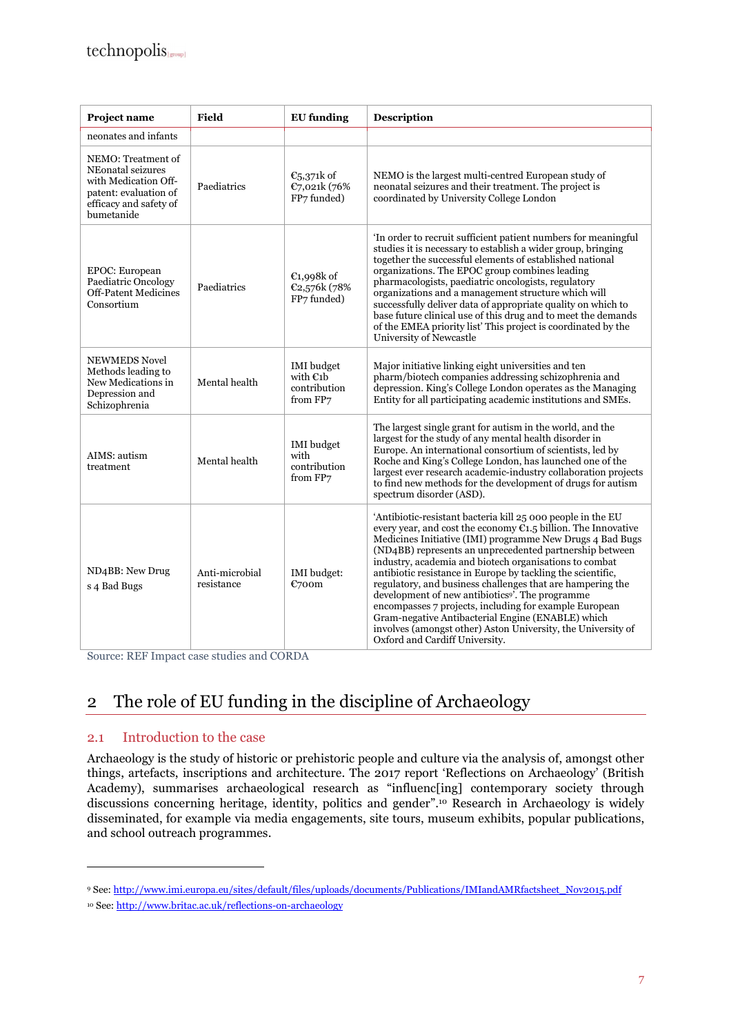| Project name                                                                                                                     | Field                        | <b>EU</b> funding                                           | Description                                                                                                                                                                                                                                                                                                                                                                                                                                                                                                                                                                                                                                                                                                                      |
|----------------------------------------------------------------------------------------------------------------------------------|------------------------------|-------------------------------------------------------------|----------------------------------------------------------------------------------------------------------------------------------------------------------------------------------------------------------------------------------------------------------------------------------------------------------------------------------------------------------------------------------------------------------------------------------------------------------------------------------------------------------------------------------------------------------------------------------------------------------------------------------------------------------------------------------------------------------------------------------|
| neonates and infants                                                                                                             |                              |                                                             |                                                                                                                                                                                                                                                                                                                                                                                                                                                                                                                                                                                                                                                                                                                                  |
| NEMO: Treatment of<br>NEonatal seizures<br>with Medication Off-<br>patent: evaluation of<br>efficacy and safety of<br>bumetanide | Paediatrics                  | $\epsilon_{5,371k}$ of<br>€7,021k (76%<br>FP7 funded)       | NEMO is the largest multi-centred European study of<br>neonatal seizures and their treatment. The project is<br>coordinated by University College London                                                                                                                                                                                                                                                                                                                                                                                                                                                                                                                                                                         |
| EPOC: European<br>Paediatric Oncology<br><b>Off-Patent Medicines</b><br>Consortium                                               | Paediatrics                  | $E1,998k$ of<br>€2,576k (78%<br>FP7 funded)                 | In order to recruit sufficient patient numbers for meaningful<br>studies it is necessary to establish a wider group, bringing<br>together the successful elements of established national<br>organizations. The EPOC group combines leading<br>pharmacologists, paediatric oncologists, regulatory<br>organizations and a management structure which will<br>successfully deliver data of appropriate quality on which to<br>base future clinical use of this drug and to meet the demands<br>of the EMEA priority list' This project is coordinated by the<br>University of Newcastle                                                                                                                                           |
| <b>NEWMEDS Novel</b><br>Methods leading to<br>New Medications in<br>Depression and<br>Schizophrenia                              | Mental health                | <b>IMI</b> budget<br>with $E1b$<br>contribution<br>from FP7 | Major initiative linking eight universities and ten<br>pharm/biotech companies addressing schizophrenia and<br>depression. King's College London operates as the Managing<br>Entity for all participating academic institutions and SMEs.                                                                                                                                                                                                                                                                                                                                                                                                                                                                                        |
| AIMS: autism<br>treatment                                                                                                        | Mental health                | <b>IMI</b> budget<br>with<br>contribution<br>from FP7       | The largest single grant for autism in the world, and the<br>largest for the study of any mental health disorder in<br>Europe. An international consortium of scientists, led by<br>Roche and King's College London, has launched one of the<br>largest ever research academic-industry collaboration projects<br>to find new methods for the development of drugs for autism<br>spectrum disorder (ASD).                                                                                                                                                                                                                                                                                                                        |
| ND <sub>4</sub> BB: New Drug<br>s 4 Bad Bugs                                                                                     | Anti-microbial<br>resistance | <b>IMI</b> budget:<br>€700m                                 | 'Antibiotic-resistant bacteria kill 25 000 people in the EU<br>every year, and cost the economy $C_{1.5}$ billion. The Innovative<br>Medicines Initiative (IMI) programme New Drugs 4 Bad Bugs<br>(ND4BB) represents an unprecedented partnership between<br>industry, academia and biotech organisations to combat<br>antibiotic resistance in Europe by tackling the scientific,<br>regulatory, and business challenges that are hampering the<br>development of new antibiotics <sup>9</sup> . The programme<br>encompasses 7 projects, including for example European<br>Gram-negative Antibacterial Engine (ENABLE) which<br>involves (amongst other) Aston University, the University of<br>Oxford and Cardiff University. |

Source: REF Impact case studies and CORDA

## 2 The role of EU funding in the discipline of Archaeology

#### 2.1 Introduction to the case

 $\overline{a}$ 

Archaeology is the study of historic or prehistoric people and culture via the analysis of, amongst other things, artefacts, inscriptions and architecture. The 2017 report 'Reflections on Archaeology' (British Academy), summarises archaeological research as "influenc[ing] contemporary society through discussions concerning heritage, identity, politics and gender".10 Research in Archaeology is widely disseminated, for example via media engagements, site tours, museum exhibits, popular publications, and school outreach programmes.

<sup>9</sup> See: http://www.imi.europa.eu/sites/default/files/uploads/documents/Publications/IMIandAMRfactsheet\_Nov2015.pdf

<sup>10</sup> See: http://www.britac.ac.uk/reflections-on-archaeology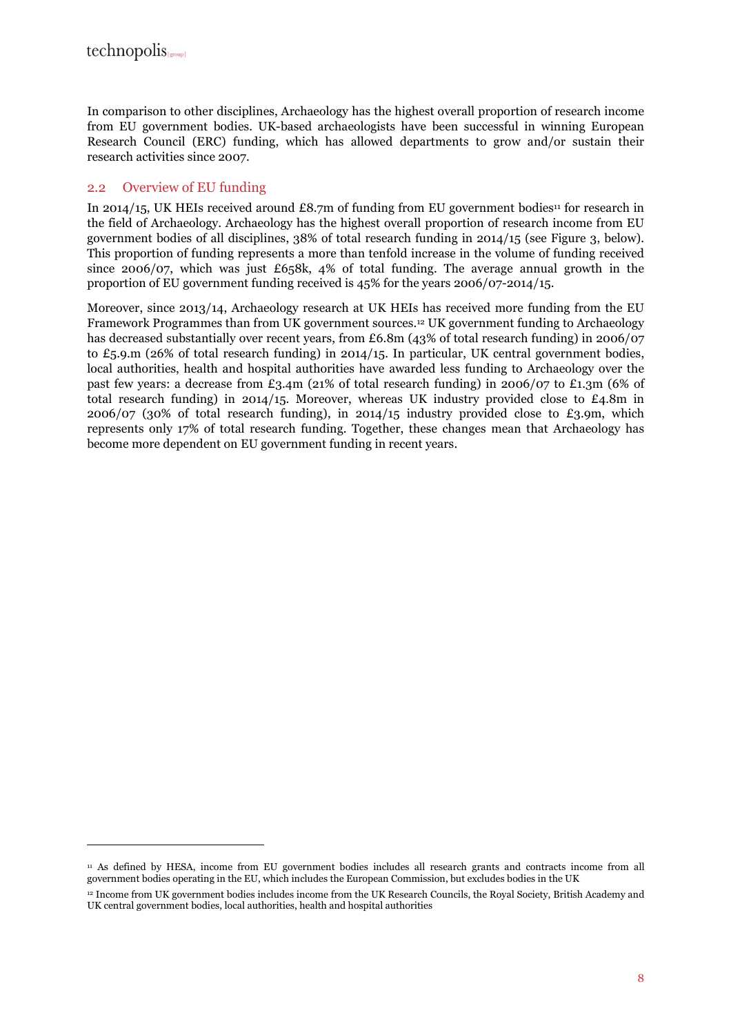$\overline{a}$ 

In comparison to other disciplines, Archaeology has the highest overall proportion of research income from EU government bodies. UK-based archaeologists have been successful in winning European Research Council (ERC) funding, which has allowed departments to grow and/or sustain their research activities since 2007.

#### 2.2 Overview of EU funding

In 2014/15, UK HEIs received around £8.7m of funding from EU government bodies<sup>11</sup> for research in the field of Archaeology. Archaeology has the highest overall proportion of research income from EU government bodies of all disciplines, 38% of total research funding in 2014/15 (see Figure 3, below). This proportion of funding represents a more than tenfold increase in the volume of funding received since 2006/07, which was just £658k, 4% of total funding. The average annual growth in the proportion of EU government funding received is 45% for the years 2006/07-2014/15.

Moreover, since 2013/14, Archaeology research at UK HEIs has received more funding from the EU Framework Programmes than from UK government sources.12 UK government funding to Archaeology has decreased substantially over recent years, from £6.8m (43% of total research funding) in 2006/07 to £5.9.m (26% of total research funding) in 2014/15. In particular, UK central government bodies, local authorities, health and hospital authorities have awarded less funding to Archaeology over the past few years: a decrease from £3.4m (21% of total research funding) in 2006/07 to £1.3m (6% of total research funding) in 2014/15. Moreover, whereas UK industry provided close to £4.8m in 2006/07 (30% of total research funding), in 2014/15 industry provided close to £3.9m, which represents only 17% of total research funding. Together, these changes mean that Archaeology has become more dependent on EU government funding in recent years.

<sup>&</sup>lt;sup>11</sup> As defined by HESA, income from EU government bodies includes all research grants and contracts income from all government bodies operating in the EU, which includes the European Commission, but excludes bodies in the UK

<sup>12</sup> Income from UK government bodies includes income from the UK Research Councils, the Royal Society, British Academy and UK central government bodies, local authorities, health and hospital authorities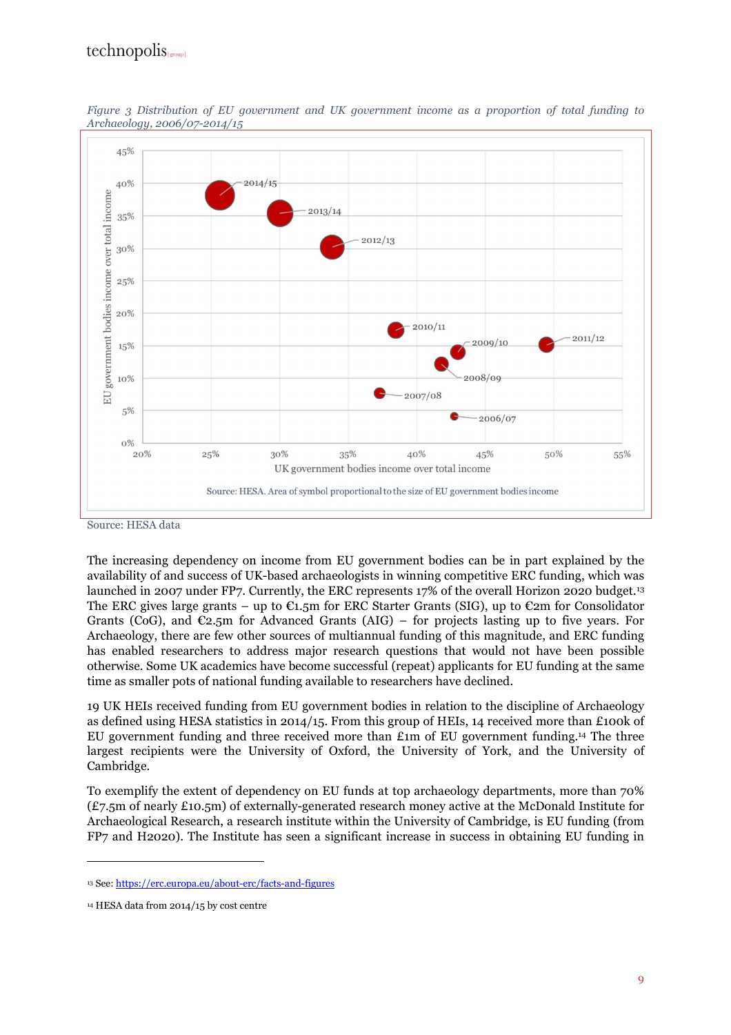### technopolis



*Figure 3 Distribution of EU government and UK government income as a proportion of total funding to Archaeology, 2006/07-2014/15* 

#### Source: HESA data

The increasing dependency on income from EU government bodies can be in part explained by the availability of and success of UK-based archaeologists in winning competitive ERC funding, which was launched in 2007 under FP7. Currently, the ERC represents 17% of the overall Horizon 2020 budget.<sup>13</sup> The ERC gives large grants – up to  $\epsilon_{1.5m}$  for ERC Starter Grants (SIG), up to  $\epsilon_{2m}$  for Consolidator Grants (CoG), and  $\mathfrak{C}_2$ ,  $\mathfrak{m}$  for Advanced Grants (AIG) – for projects lasting up to five years. For Archaeology, there are few other sources of multiannual funding of this magnitude, and ERC funding has enabled researchers to address major research questions that would not have been possible otherwise. Some UK academics have become successful (repeat) applicants for EU funding at the same time as smaller pots of national funding available to researchers have declined.

19 UK HEIs received funding from EU government bodies in relation to the discipline of Archaeology as defined using HESA statistics in 2014/15. From this group of HEIs, 14 received more than £100k of EU government funding and three received more than £1m of EU government funding.14 The three largest recipients were the University of Oxford, the University of York, and the University of Cambridge.

To exemplify the extent of dependency on EU funds at top archaeology departments, more than 70% (£7.5m of nearly £10.5m) of externally-generated research money active at the McDonald Institute for Archaeological Research, a research institute within the University of Cambridge, is EU funding (from FP7 and H2020). The Institute has seen a significant increase in success in obtaining EU funding in

<sup>13</sup> See: https://erc.europa.eu/about-erc/facts-and-figures

<sup>14</sup> HESA data from 2014/15 by cost centre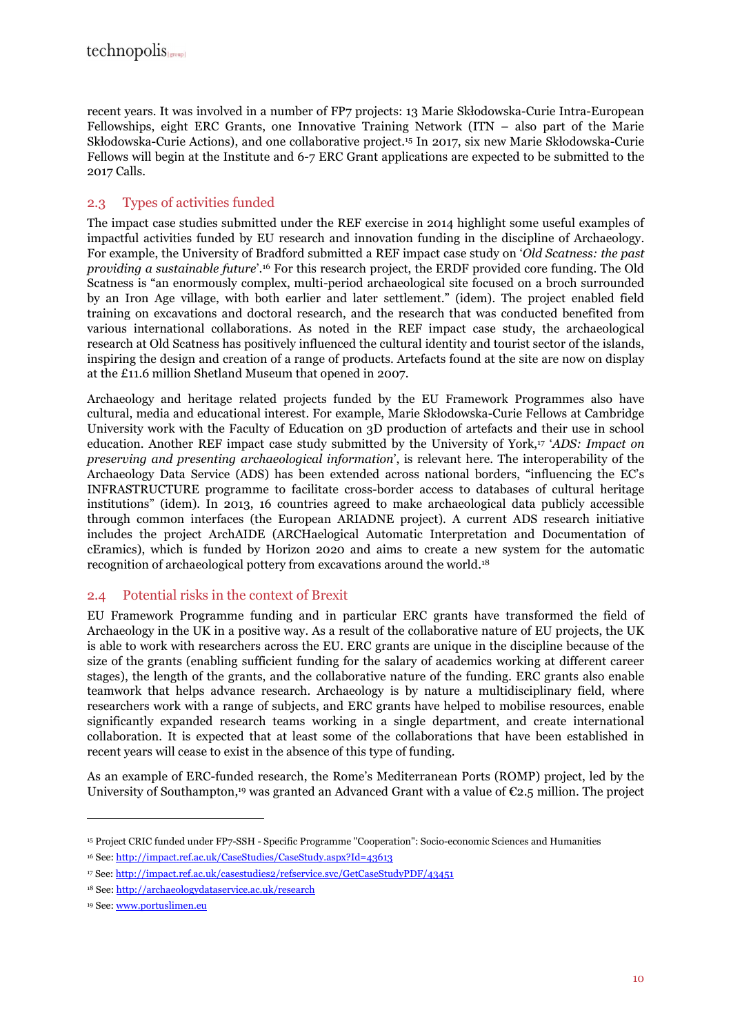recent years. It was involved in a number of FP7 projects: 13 Marie Skłodowska-Curie Intra-European Fellowships, eight ERC Grants, one Innovative Training Network (ITN – also part of the Marie Skłodowska-Curie Actions), and one collaborative project.15 In 2017, six new Marie Skłodowska-Curie Fellows will begin at the Institute and 6-7 ERC Grant applications are expected to be submitted to the 2017 Calls.

### 2.3 Types of activities funded

The impact case studies submitted under the REF exercise in 2014 highlight some useful examples of impactful activities funded by EU research and innovation funding in the discipline of Archaeology. For example, the University of Bradford submitted a REF impact case study on '*Old Scatness: the past providing a sustainable future*'.16 For this research project, the ERDF provided core funding. The Old Scatness is "an enormously complex, multi-period archaeological site focused on a broch surrounded by an Iron Age village, with both earlier and later settlement." (idem). The project enabled field training on excavations and doctoral research, and the research that was conducted benefited from various international collaborations. As noted in the REF impact case study, the archaeological research at Old Scatness has positively influenced the cultural identity and tourist sector of the islands, inspiring the design and creation of a range of products. Artefacts found at the site are now on display at the £11.6 million Shetland Museum that opened in 2007.

Archaeology and heritage related projects funded by the EU Framework Programmes also have cultural, media and educational interest. For example, Marie Skłodowska-Curie Fellows at Cambridge University work with the Faculty of Education on 3D production of artefacts and their use in school education. Another REF impact case study submitted by the University of York,17 '*ADS: Impact on preserving and presenting archaeological information*', is relevant here. The interoperability of the Archaeology Data Service (ADS) has been extended across national borders, "influencing the EC's INFRASTRUCTURE programme to facilitate cross-border access to databases of cultural heritage institutions" (idem). In 2013, 16 countries agreed to make archaeological data publicly accessible through common interfaces (the European ARIADNE project). A current ADS research initiative includes the project ArchAIDE (ARCHaelogical Automatic Interpretation and Documentation of cEramics), which is funded by Horizon 2020 and aims to create a new system for the automatic recognition of archaeological pottery from excavations around the world.<sup>18</sup>

#### 2.4 Potential risks in the context of Brexit

EU Framework Programme funding and in particular ERC grants have transformed the field of Archaeology in the UK in a positive way. As a result of the collaborative nature of EU projects, the UK is able to work with researchers across the EU. ERC grants are unique in the discipline because of the size of the grants (enabling sufficient funding for the salary of academics working at different career stages), the length of the grants, and the collaborative nature of the funding. ERC grants also enable teamwork that helps advance research. Archaeology is by nature a multidisciplinary field, where researchers work with a range of subjects, and ERC grants have helped to mobilise resources, enable significantly expanded research teams working in a single department, and create international collaboration. It is expected that at least some of the collaborations that have been established in recent years will cease to exist in the absence of this type of funding.

As an example of ERC-funded research, the Rome's Mediterranean Ports (ROMP) project, led by the University of Southampton,<sup>19</sup> was granted an Advanced Grant with a value of  $\epsilon$ 2.5 million. The project

<sup>15</sup> Project CRIC funded under FP7-SSH - Specific Programme "Cooperation": Socio-economic Sciences and Humanities

<sup>16</sup> See: http://impact.ref.ac.uk/CaseStudies/CaseStudy.aspx?Id=43613

<sup>17</sup> See: http://impact.ref.ac.uk/casestudies2/refservice.svc/GetCaseStudyPDF/43451

<sup>18</sup> See: http://archaeologydataservice.ac.uk/research

<sup>19</sup> See: www.portuslimen.eu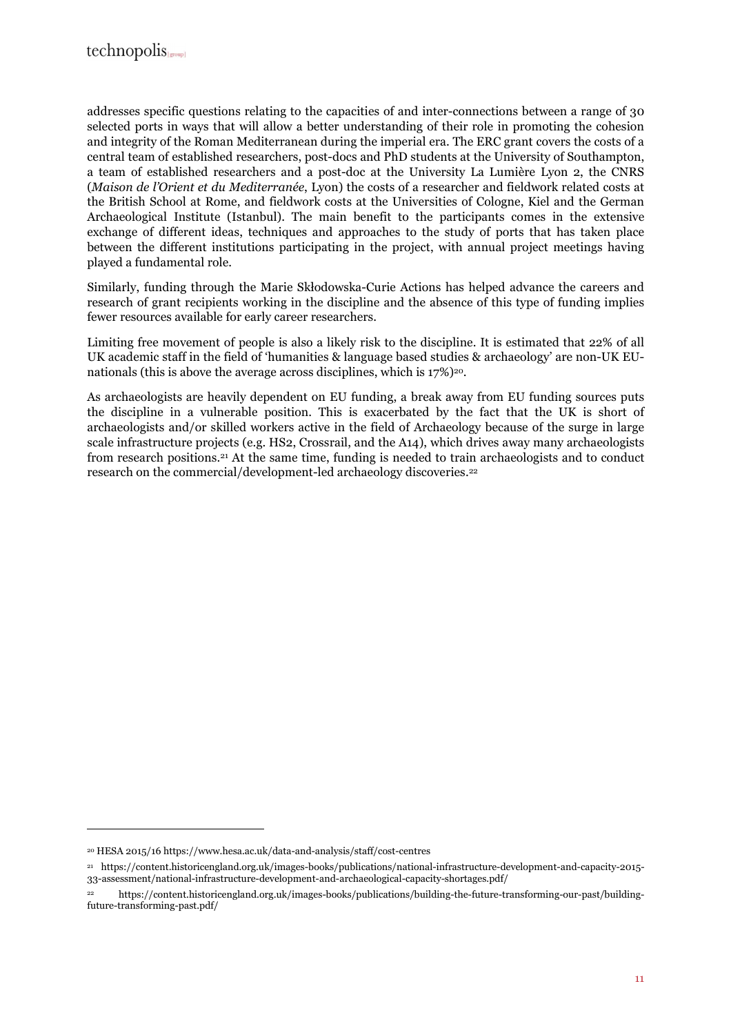addresses specific questions relating to the capacities of and inter-connections between a range of 30 selected ports in ways that will allow a better understanding of their role in promoting the cohesion and integrity of the Roman Mediterranean during the imperial era. The ERC grant covers the costs of a central team of established researchers, post-docs and PhD students at the University of Southampton, a team of established researchers and a post-doc at the University La Lumière Lyon 2, the CNRS (*Maison de l'Orient et du Mediterranée*, Lyon) the costs of a researcher and fieldwork related costs at the British School at Rome, and fieldwork costs at the Universities of Cologne, Kiel and the German Archaeological Institute (Istanbul). The main benefit to the participants comes in the extensive exchange of different ideas, techniques and approaches to the study of ports that has taken place between the different institutions participating in the project, with annual project meetings having played a fundamental role.

Similarly, funding through the Marie Skłodowska-Curie Actions has helped advance the careers and research of grant recipients working in the discipline and the absence of this type of funding implies fewer resources available for early career researchers.

Limiting free movement of people is also a likely risk to the discipline. It is estimated that 22% of all UK academic staff in the field of 'humanities & language based studies & archaeology' are non-UK EUnationals (this is above the average across disciplines, which is  $17\%$ )<sup>20</sup>.

As archaeologists are heavily dependent on EU funding, a break away from EU funding sources puts the discipline in a vulnerable position. This is exacerbated by the fact that the UK is short of archaeologists and/or skilled workers active in the field of Archaeology because of the surge in large scale infrastructure projects (e.g. HS2, Crossrail, and the A14), which drives away many archaeologists from research positions.21 At the same time, funding is needed to train archaeologists and to conduct research on the commercial/development-led archaeology discoveries.<sup>22</sup>

<sup>20</sup> HESA 2015/16 https://www.hesa.ac.uk/data-and-analysis/staff/cost-centres

<sup>21</sup> https://content.historicengland.org.uk/images-books/publications/national-infrastructure-development-and-capacity-2015- 33-assessment/national-infrastructure-development-and-archaeological-capacity-shortages.pdf/

<sup>22</sup> https://content.historicengland.org.uk/images-books/publications/building-the-future-transforming-our-past/buildingfuture-transforming-past.pdf/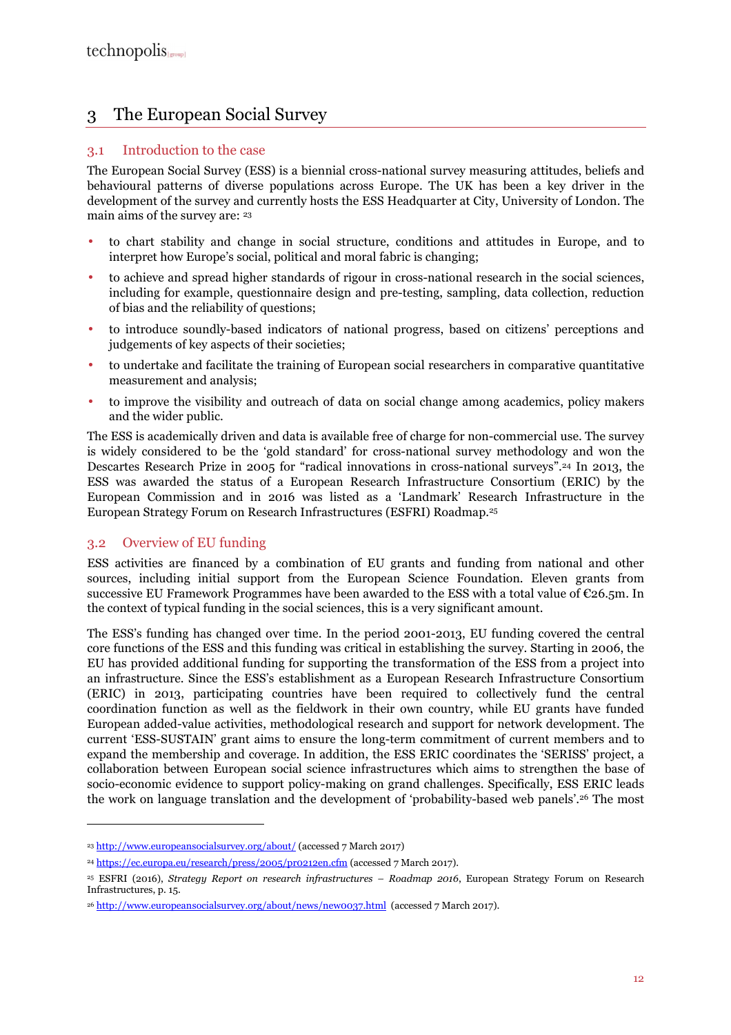## 3 The European Social Survey

#### 3.1 Introduction to the case

The European Social Survey (ESS) is a biennial cross-national survey measuring attitudes, beliefs and behavioural patterns of diverse populations across Europe. The UK has been a key driver in the development of the survey and currently hosts the ESS Headquarter at City, University of London. The main aims of the survey are: <sup>23</sup>

- to chart stability and change in social structure, conditions and attitudes in Europe, and to interpret how Europe's social, political and moral fabric is changing;
- to achieve and spread higher standards of rigour in cross-national research in the social sciences, including for example, questionnaire design and pre-testing, sampling, data collection, reduction of bias and the reliability of questions;
- to introduce soundly-based indicators of national progress, based on citizens' perceptions and judgements of key aspects of their societies;
- to undertake and facilitate the training of European social researchers in comparative quantitative measurement and analysis;
- to improve the visibility and outreach of data on social change among academics, policy makers and the wider public.

The ESS is academically driven and data is available free of charge for non-commercial use. The survey is widely considered to be the 'gold standard' for cross-national survey methodology and won the Descartes Research Prize in 2005 for "radical innovations in cross-national surveys".24 In 2013, the ESS was awarded the status of a European Research Infrastructure Consortium (ERIC) by the European Commission and in 2016 was listed as a 'Landmark' Research Infrastructure in the European Strategy Forum on Research Infrastructures (ESFRI) Roadmap.<sup>25</sup>

#### 3.2 Overview of EU funding

 $\overline{a}$ 

ESS activities are financed by a combination of EU grants and funding from national and other sources, including initial support from the European Science Foundation. Eleven grants from successive EU Framework Programmes have been awarded to the ESS with a total value of  $\mathfrak{C}26.5m$ . In the context of typical funding in the social sciences, this is a very significant amount.

The ESS's funding has changed over time. In the period 2001-2013, EU funding covered the central core functions of the ESS and this funding was critical in establishing the survey. Starting in 2006, the EU has provided additional funding for supporting the transformation of the ESS from a project into an infrastructure. Since the ESS's establishment as a European Research Infrastructure Consortium (ERIC) in 2013, participating countries have been required to collectively fund the central coordination function as well as the fieldwork in their own country, while EU grants have funded European added-value activities, methodological research and support for network development. The current 'ESS-SUSTAIN' grant aims to ensure the long-term commitment of current members and to expand the membership and coverage. In addition, the ESS ERIC coordinates the 'SERISS' project, a collaboration between European social science infrastructures which aims to strengthen the base of socio-economic evidence to support policy-making on grand challenges. Specifically, ESS ERIC leads the work on language translation and the development of 'probability-based web panels'.<sup>26</sup> The most

<sup>23</sup> http://www.europeansocialsurvey.org/about/ (accessed 7 March 2017)

<sup>24</sup> https://ec.europa.eu/research/press/2005/pr0212en.cfm (accessed 7 March 2017).

<sup>25</sup> ESFRI (2016), *Strategy Report on research infrastructures – Roadmap 2016*, European Strategy Forum on Research Infrastructures, p. 15.

<sup>&</sup>lt;sup>26</sup> http://www.europeansocialsurvey.org/about/news/new0037.html (accessed 7 March 2017).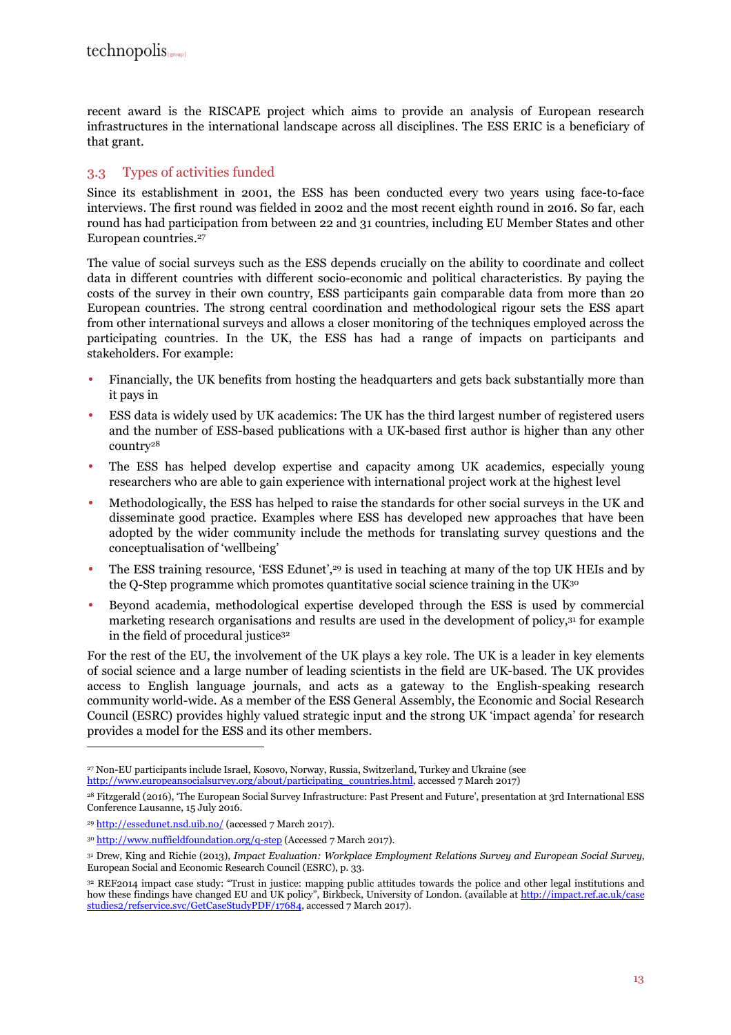recent award is the RISCAPE project which aims to provide an analysis of European research infrastructures in the international landscape across all disciplines. The ESS ERIC is a beneficiary of that grant.

#### 3.3 Types of activities funded

Since its establishment in 2001, the ESS has been conducted every two years using face-to-face interviews. The first round was fielded in 2002 and the most recent eighth round in 2016. So far, each round has had participation from between 22 and 31 countries, including EU Member States and other European countries.<sup>27</sup>

The value of social surveys such as the ESS depends crucially on the ability to coordinate and collect data in different countries with different socio-economic and political characteristics. By paying the costs of the survey in their own country, ESS participants gain comparable data from more than 20 European countries. The strong central coordination and methodological rigour sets the ESS apart from other international surveys and allows a closer monitoring of the techniques employed across the participating countries. In the UK, the ESS has had a range of impacts on participants and stakeholders. For example:

- Financially, the UK benefits from hosting the headquarters and gets back substantially more than it pays in
- ESS data is widely used by UK academics: The UK has the third largest number of registered users and the number of ESS-based publications with a UK-based first author is higher than any other country<sup>28</sup>
- The ESS has helped develop expertise and capacity among UK academics, especially young researchers who are able to gain experience with international project work at the highest level
- Methodologically, the ESS has helped to raise the standards for other social surveys in the UK and disseminate good practice. Examples where ESS has developed new approaches that have been adopted by the wider community include the methods for translating survey questions and the conceptualisation of 'wellbeing'
- The ESS training resource, 'ESS Edunet',<sup>29</sup> is used in teaching at many of the top UK HEIs and by the Q-Step programme which promotes quantitative social science training in the UK<sup>30</sup>
- Beyond academia, methodological expertise developed through the ESS is used by commercial marketing research organisations and results are used in the development of policy,31 for example in the field of procedural justice<sup>32</sup>

For the rest of the EU, the involvement of the UK plays a key role. The UK is a leader in key elements of social science and a large number of leading scientists in the field are UK-based. The UK provides access to English language journals, and acts as a gateway to the English-speaking research community world-wide. As a member of the ESS General Assembly, the Economic and Social Research Council (ESRC) provides highly valued strategic input and the strong UK 'impact agenda' for research provides a model for the ESS and its other members.

<sup>27</sup> Non-EU participants include Israel, Kosovo, Norway, Russia, Switzerland, Turkey and Ukraine (see http://www.europeansocialsurvey.org/about/participating\_countries.html, accessed 7 March 2017)

<sup>28</sup> Fitzgerald (2016), 'The European Social Survey Infrastructure: Past Present and Future', presentation at 3rd International ESS Conference Lausanne, 15 July 2016.

<sup>29</sup> http://essedunet.nsd.uib.no/ (accessed 7 March 2017).

<sup>30</sup> http://www.nuffieldfoundation.org/q-step (Accessed 7 March 2017).

<sup>31</sup> Drew, King and Richie (2013), *Impact Evaluation: Workplace Employment Relations Survey and European Social Survey*, European Social and Economic Research Council (ESRC), p. 33.

<sup>32</sup> REF2014 impact case study: "Trust in justice: mapping public attitudes towards the police and other legal institutions and how these findings have changed EU and UK policy", Birkbeck, University of London. (available at http://impact.ref.ac.uk/case studies2/refservice.svc/GetCaseStudyPDF/17684, accessed 7 March 2017).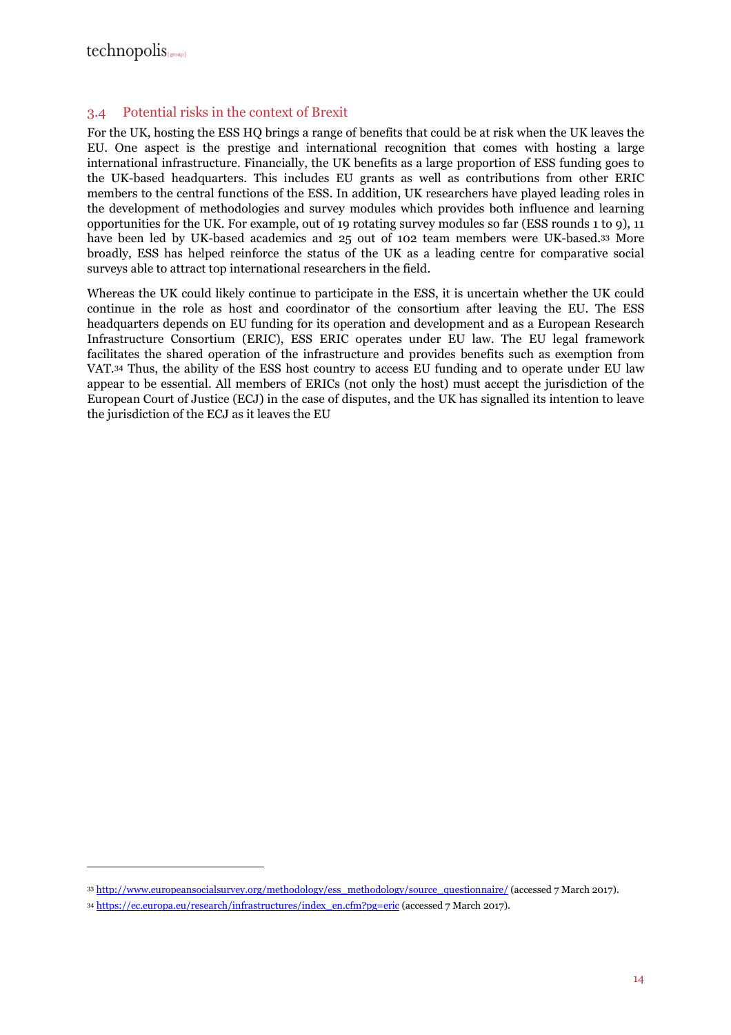$\overline{a}$ 

#### 3.4 Potential risks in the context of Brexit

For the UK, hosting the ESS HQ brings a range of benefits that could be at risk when the UK leaves the EU. One aspect is the prestige and international recognition that comes with hosting a large international infrastructure. Financially, the UK benefits as a large proportion of ESS funding goes to the UK-based headquarters. This includes EU grants as well as contributions from other ERIC members to the central functions of the ESS. In addition, UK researchers have played leading roles in the development of methodologies and survey modules which provides both influence and learning opportunities for the UK. For example, out of 19 rotating survey modules so far (ESS rounds 1 to 9), 11 have been led by UK-based academics and 25 out of 102 team members were UK-based.33 More broadly, ESS has helped reinforce the status of the UK as a leading centre for comparative social surveys able to attract top international researchers in the field.

Whereas the UK could likely continue to participate in the ESS, it is uncertain whether the UK could continue in the role as host and coordinator of the consortium after leaving the EU. The ESS headquarters depends on EU funding for its operation and development and as a European Research Infrastructure Consortium (ERIC), ESS ERIC operates under EU law. The EU legal framework facilitates the shared operation of the infrastructure and provides benefits such as exemption from VAT.34 Thus, the ability of the ESS host country to access EU funding and to operate under EU law appear to be essential. All members of ERICs (not only the host) must accept the jurisdiction of the European Court of Justice (ECJ) in the case of disputes, and the UK has signalled its intention to leave the jurisdiction of the ECJ as it leaves the EU

<sup>33</sup> http://www.europeansocialsurvey.org/methodology/ess\_methodology/source\_questionnaire/ (accessed 7 March 2017).

<sup>34</sup> https://ec.europa.eu/research/infrastructures/index\_en.cfm?pg=eric (accessed 7 March 2017).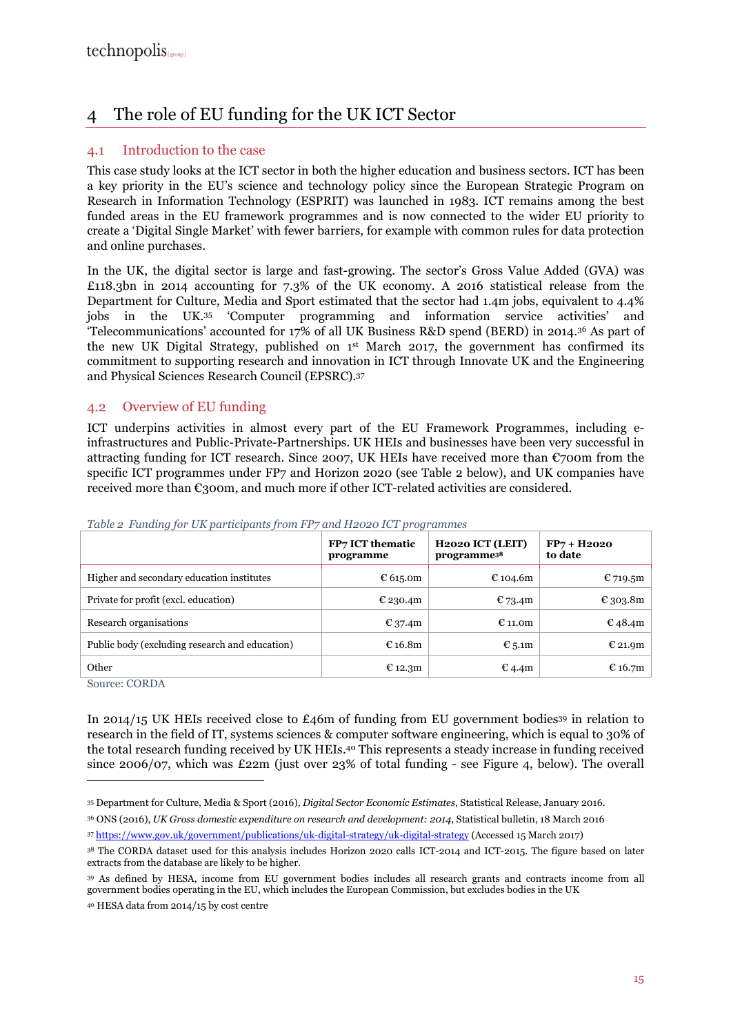## 4 The role of EU funding for the UK ICT Sector

#### 4.1 Introduction to the case

This case study looks at the ICT sector in both the higher education and business sectors. ICT has been a key priority in the EU's science and technology policy since the European Strategic Program on Research in Information Technology (ESPRIT) was launched in 1983. ICT remains among the best funded areas in the EU framework programmes and is now connected to the wider EU priority to create a 'Digital Single Market' with fewer barriers, for example with common rules for data protection and online purchases.

In the UK, the digital sector is large and fast-growing. The sector's Gross Value Added (GVA) was £118.3bn in 2014 accounting for 7.3% of the UK economy. A 2016 statistical release from the Department for Culture, Media and Sport estimated that the sector had 1.4m jobs, equivalent to 4.4% jobs in the UK.35 'Computer programming and information service activities' and 'Telecommunications' accounted for 17% of all UK Business R&D spend (BERD) in 2014.36 As part of the new UK Digital Strategy, published on 1st March 2017, the government has confirmed its commitment to supporting research and innovation in ICT through Innovate UK and the Engineering and Physical Sciences Research Council (EPSRC).<sup>37</sup>

#### 4.2 Overview of EU funding

ICT underpins activities in almost every part of the EU Framework Programmes, including einfrastructures and Public-Private-Partnerships. UK HEIs and businesses have been very successful in attracting funding for ICT research. Since 2007, UK HEIs have received more than  $\mathfrak{C}$ 700m from the specific ICT programmes under FP7 and Horizon 2020 (see Table 2 below), and UK companies have received more than  $\epsilon$ 300m, and much more if other ICT-related activities are considered.

|                                                       | FP7 ICT thematic<br>programme | H <sub>2020</sub> ICT (LEIT)<br>programme <sup>38</sup> | $FP7 + H2020$<br>to date |
|-------------------------------------------------------|-------------------------------|---------------------------------------------------------|--------------------------|
| Higher and secondary education institutes             | € 615.0m                      | € 104.6m                                                | € 719.5 $m$              |
| Private for profit (excl. education)                  | € 230.4m                      | $E$ 73.4m                                               | € 303.8m                 |
| Research organisations                                | $E_{37.4m}$                   | € 11.0 $m$                                              | $E$ 48.4m                |
| Public body (excluding research and education)        | $E$ 16.8m                     | € 5.1m                                                  | € 21.9 $m$               |
| Other<br>$\sim$<br>$\sim$ $\sim$ $\sim$ $\sim$ $\sim$ | € 12.3 $m$                    | $E$ 4.4m                                                | € 16.7 $m$               |

*Table 2 Funding for UK participants from FP7 and H2020 ICT programmes* 

Source: CORDA

 $\overline{a}$ 

In 2014/15 UK HEIs received close to  $£46m$  of funding from EU government bodies<sup>39</sup> in relation to research in the field of IT, systems sciences & computer software engineering, which is equal to 30% of the total research funding received by UK HEIs.40 This represents a steady increase in funding received since 2006/07, which was £22m (just over 23% of total funding - see Figure 4, below). The overall

<sup>35</sup> Department for Culture, Media & Sport (2016), *Digital Sector Economic Estimates*, Statistical Release, January 2016.

<sup>36</sup> ONS (2016), *UK Gross domestic expenditure on research and development: 2014*, Statistical bulletin, 18 March 2016

<sup>37</sup> https://www.gov.uk/government/publications/uk-digital-strategy/uk-digital-strategy (Accessed 15 March 2017)

<sup>38</sup> The CORDA dataset used for this analysis includes Horizon 2020 calls ICT-2014 and ICT-2015. The figure based on later extracts from the database are likely to be higher.

<sup>39</sup> As defined by HESA, income from EU government bodies includes all research grants and contracts income from all government bodies operating in the EU, which includes the European Commission, but excludes bodies in the UK

<sup>40</sup> HESA data from 2014/15 by cost centre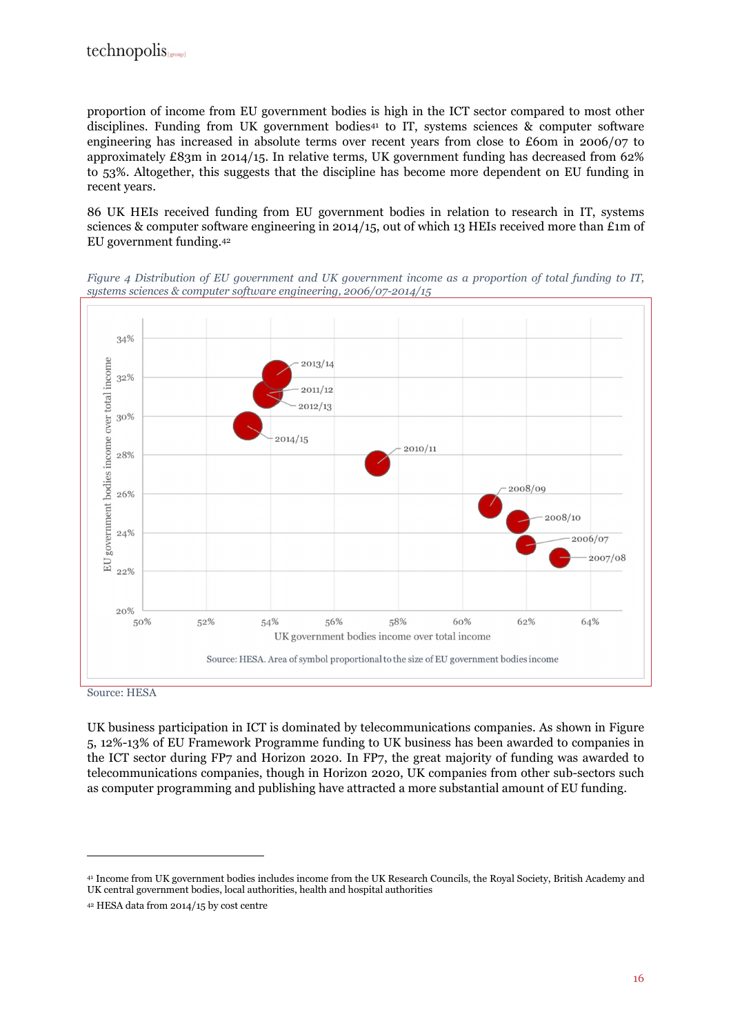proportion of income from EU government bodies is high in the ICT sector compared to most other disciplines. Funding from UK government bodies<sup>41</sup> to IT, systems sciences & computer software engineering has increased in absolute terms over recent years from close to £60m in 2006/07 to approximately £83m in 2014/15. In relative terms, UK government funding has decreased from  $62\%$ to 53%. Altogether, this suggests that the discipline has become more dependent on EU funding in recent years.

86 UK HEIs received funding from EU government bodies in relation to research in IT, systems sciences & computer software engineering in 2014/15, out of which 13 HEIs received more than £1m of EU government funding.<sup>42</sup>

*Figure 4 Distribution of EU government and UK government income as a proportion of total funding to IT, systems sciences & computer software engineering, 2006/07-2014/15* 



Source: HESA

 $\overline{a}$ 

UK business participation in ICT is dominated by telecommunications companies. As shown in Figure 5, 12%-13% of EU Framework Programme funding to UK business has been awarded to companies in the ICT sector during FP7 and Horizon 2020. In FP7, the great majority of funding was awarded to telecommunications companies, though in Horizon 2020, UK companies from other sub-sectors such as computer programming and publishing have attracted a more substantial amount of EU funding.

<sup>41</sup> Income from UK government bodies includes income from the UK Research Councils, the Royal Society, British Academy and UK central government bodies, local authorities, health and hospital authorities

<sup>42</sup> HESA data from 2014/15 by cost centre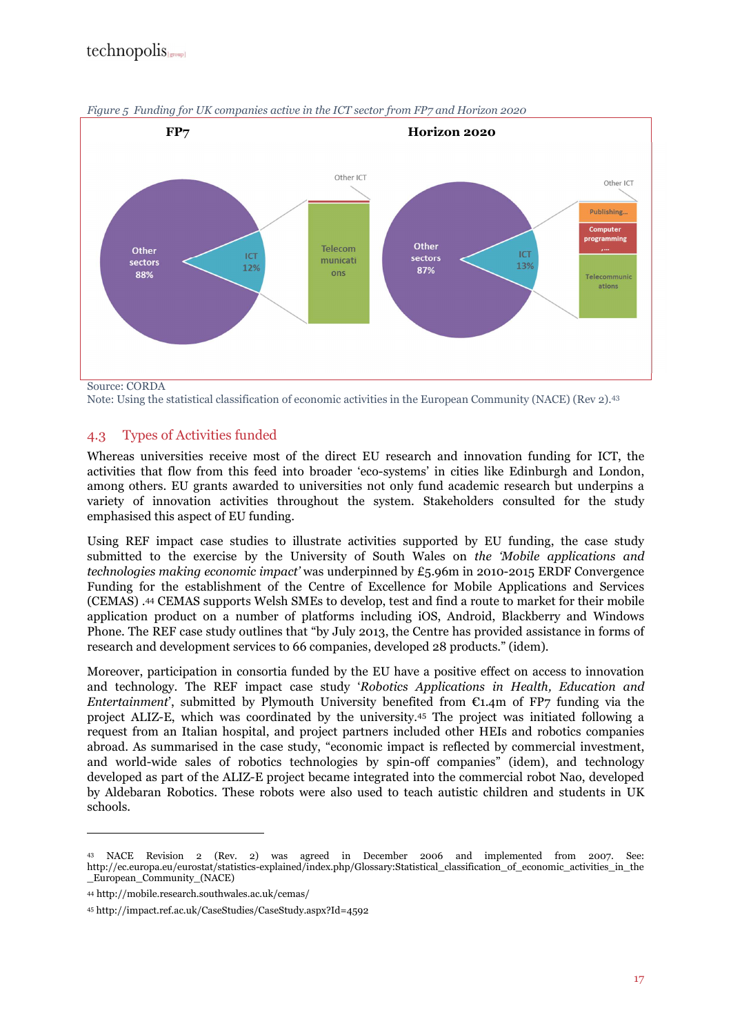

*Figure 5 Funding for UK companies active in the ICT sector from FP7 and Horizon 2020* 

Note: Using the statistical classification of economic activities in the European Community (NACE) (Rev 2).<sup>43</sup>

#### 4.3 Types of Activities funded

Whereas universities receive most of the direct EU research and innovation funding for ICT, the activities that flow from this feed into broader 'eco-systems' in cities like Edinburgh and London, among others. EU grants awarded to universities not only fund academic research but underpins a variety of innovation activities throughout the system. Stakeholders consulted for the study emphasised this aspect of EU funding.

Using REF impact case studies to illustrate activities supported by EU funding, the case study submitted to the exercise by the University of South Wales on *the 'Mobile applications and technologies making economic impact'* was underpinned by £5.96m in 2010-2015 ERDF Convergence Funding for the establishment of the Centre of Excellence for Mobile Applications and Services (CEMAS) .44 CEMAS supports Welsh SMEs to develop, test and find a route to market for their mobile application product on a number of platforms including iOS, Android, Blackberry and Windows Phone. The REF case study outlines that "by July 2013, the Centre has provided assistance in forms of research and development services to 66 companies, developed 28 products." (idem).

Moreover, participation in consortia funded by the EU have a positive effect on access to innovation and technology. The REF impact case study '*Robotics Applications in Health, Education and Entertainment*', submitted by Plymouth University benefited from €1.4m of FP7 funding via the project ALIZ-E, which was coordinated by the university.45 The project was initiated following a request from an Italian hospital, and project partners included other HEIs and robotics companies abroad. As summarised in the case study, "economic impact is reflected by commercial investment, and world-wide sales of robotics technologies by spin-off companies" (idem), and technology developed as part of the ALIZ-E project became integrated into the commercial robot Nao, developed by Aldebaran Robotics. These robots were also used to teach autistic children and students in UK schools.

<sup>43</sup> NACE Revision 2 (Rev. 2) was agreed in December 2006 and implemented from 2007. See: http://ec.europa.eu/eurostat/statistics-explained/index.php/Glossary:Statistical\_classification\_of\_economic\_activities\_in\_the \_European\_Community\_(NACE)

<sup>44</sup> http://mobile.research.southwales.ac.uk/cemas/

<sup>45</sup> http://impact.ref.ac.uk/CaseStudies/CaseStudy.aspx?Id=4592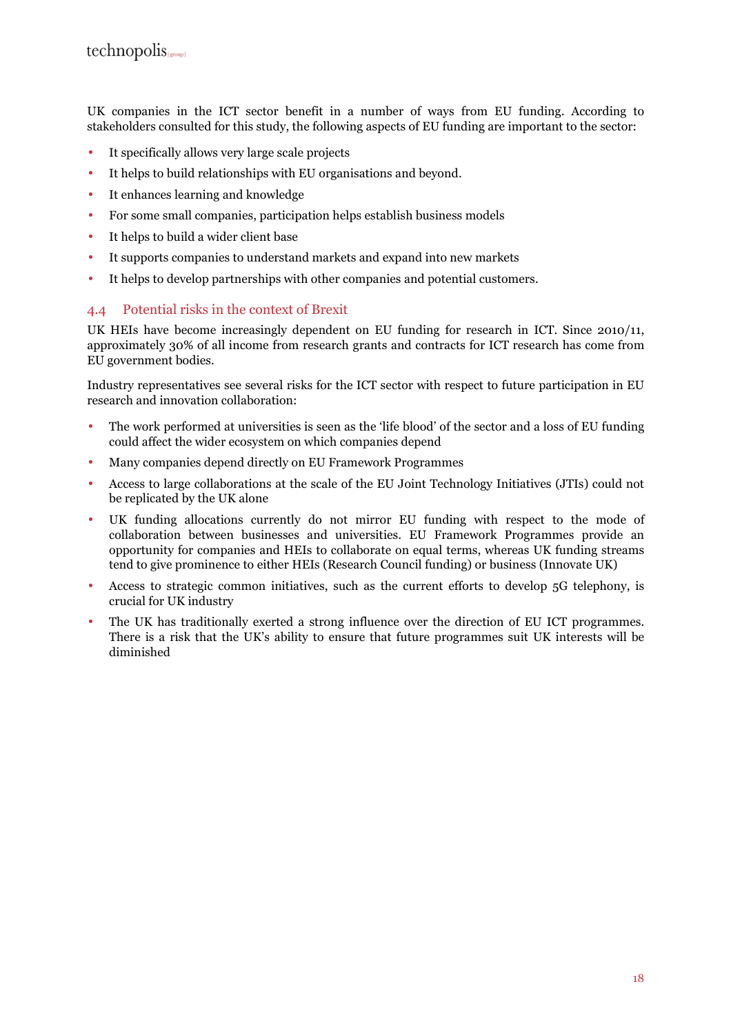UK companies in the ICT sector benefit in a number of ways from EU funding. According to stakeholders consulted for this study, the following aspects of EU funding are important to the sector:

- It specifically allows very large scale projects
- It helps to build relationships with EU organisations and beyond.
- It enhances learning and knowledge
- For some small companies, participation helps establish business models
- It helps to build a wider client base
- It supports companies to understand markets and expand into new markets
- It helps to develop partnerships with other companies and potential customers.

#### 4.4 Potential risks in the context of Brexit

UK HEIs have become increasingly dependent on EU funding for research in ICT. Since 2010/11, approximately 30% of all income from research grants and contracts for ICT research has come from EU government bodies.

Industry representatives see several risks for the ICT sector with respect to future participation in EU research and innovation collaboration:

- The work performed at universities is seen as the 'life blood' of the sector and a loss of EU funding could affect the wider ecosystem on which companies depend
- Many companies depend directly on EU Framework Programmes
- Access to large collaborations at the scale of the EU Joint Technology Initiatives (JTIs) could not be replicated by the UK alone
- UK funding allocations currently do not mirror EU funding with respect to the mode of collaboration between businesses and universities. EU Framework Programmes provide an opportunity for companies and HEIs to collaborate on equal terms, whereas UK funding streams tend to give prominence to either HEIs (Research Council funding) or business (Innovate UK)
- Access to strategic common initiatives, such as the current efforts to develop 5G telephony, is crucial for UK industry
- The UK has traditionally exerted a strong influence over the direction of EU ICT programmes. There is a risk that the UK's ability to ensure that future programmes suit UK interests will be diminished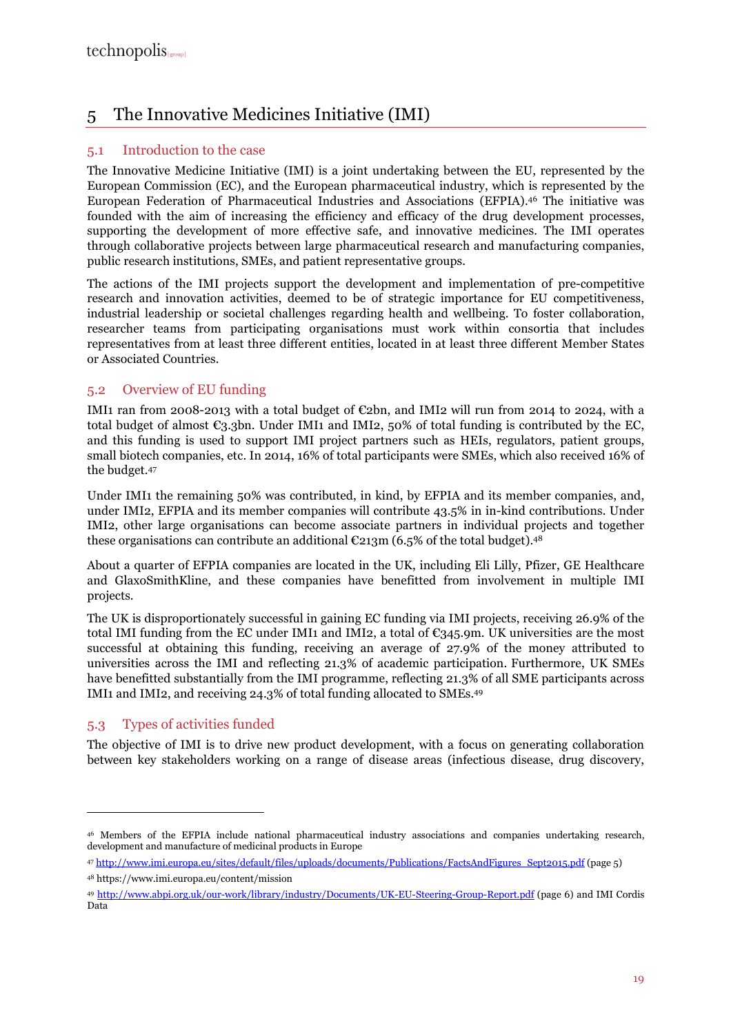## 5 The Innovative Medicines Initiative (IMI)

#### 5.1 Introduction to the case

The Innovative Medicine Initiative (IMI) is a joint undertaking between the EU, represented by the European Commission (EC), and the European pharmaceutical industry, which is represented by the European Federation of Pharmaceutical Industries and Associations (EFPIA).46 The initiative was founded with the aim of increasing the efficiency and efficacy of the drug development processes, supporting the development of more effective safe, and innovative medicines. The IMI operates through collaborative projects between large pharmaceutical research and manufacturing companies, public research institutions, SMEs, and patient representative groups.

The actions of the IMI projects support the development and implementation of pre-competitive research and innovation activities, deemed to be of strategic importance for EU competitiveness, industrial leadership or societal challenges regarding health and wellbeing. To foster collaboration, researcher teams from participating organisations must work within consortia that includes representatives from at least three different entities, located in at least three different Member States or Associated Countries.

#### 5.2 Overview of EU funding

IMI1 ran from 2008-2013 with a total budget of  $\epsilon$ 2bn, and IMI2 will run from 2014 to 2024, with a total budget of almost  $\mathbb{C}_3$ .3bn. Under IMI1 and IMI2, 50% of total funding is contributed by the EC, and this funding is used to support IMI project partners such as HEIs, regulators, patient groups, small biotech companies, etc. In 2014, 16% of total participants were SMEs, which also received 16% of the budget.<sup>47</sup>

Under IMI1 the remaining 50% was contributed, in kind, by EFPIA and its member companies, and, under IMI2, EFPIA and its member companies will contribute 43.5% in in-kind contributions. Under IMI2, other large organisations can become associate partners in individual projects and together these organisations can contribute an additional  $\mathfrak{C}213m$  (6.5% of the total budget).<sup>48</sup>

About a quarter of EFPIA companies are located in the UK, including Eli Lilly, Pfizer, GE Healthcare and GlaxoSmithKline, and these companies have benefitted from involvement in multiple IMI projects.

The UK is disproportionately successful in gaining EC funding via IMI projects, receiving 26.9% of the total IMI funding from the EC under IMI1 and IMI2, a total of  $\mathbb{C}345.9$ m. UK universities are the most successful at obtaining this funding, receiving an average of 27.9% of the money attributed to universities across the IMI and reflecting 21.3% of academic participation. Furthermore, UK SMEs have benefitted substantially from the IMI programme, reflecting 21.3% of all SME participants across IMI1 and IMI2, and receiving 24.3% of total funding allocated to SMEs.<sup>49</sup>

### 5.3 Types of activities funded

 $\overline{a}$ 

The objective of IMI is to drive new product development, with a focus on generating collaboration between key stakeholders working on a range of disease areas (infectious disease, drug discovery,

<sup>48</sup> https://www.imi.europa.eu/content/mission

<sup>46</sup> Members of the EFPIA include national pharmaceutical industry associations and companies undertaking research, development and manufacture of medicinal products in Europe

<sup>47</sup> http://www.imi.europa.eu/sites/default/files/uploads/documents/Publications/FactsAndFigures\_Sept2015.pdf (page 5)

<sup>49</sup> http://www.abpi.org.uk/our-work/library/industry/Documents/UK-EU-Steering-Group-Report.pdf (page 6) and IMI Cordis Data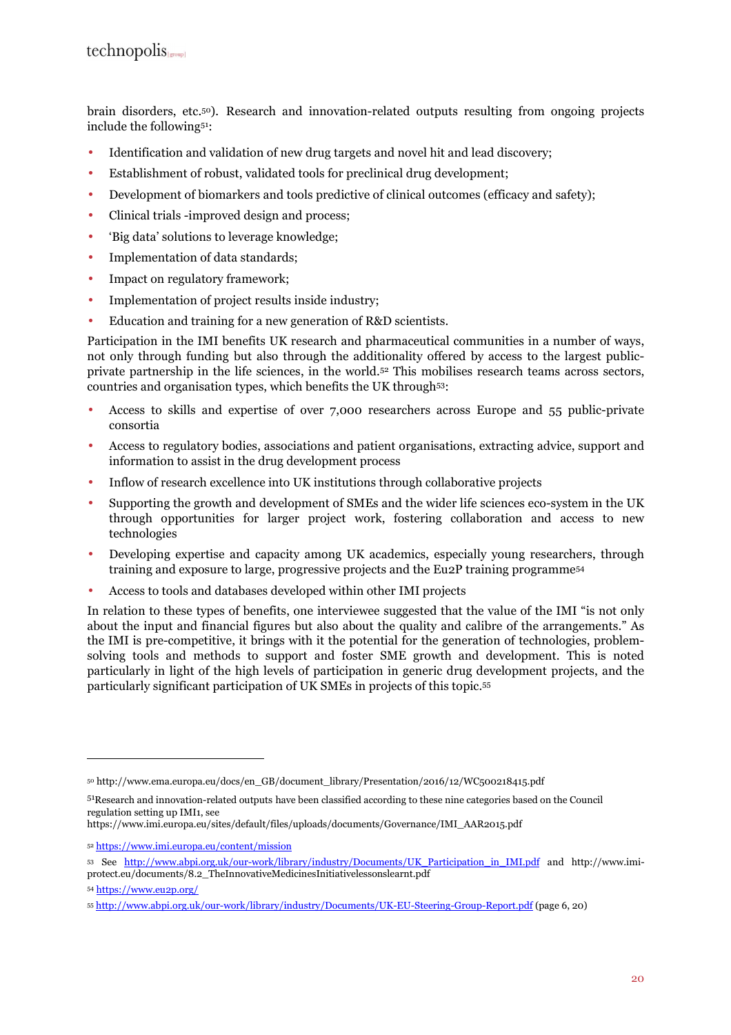brain disorders, etc.50). Research and innovation-related outputs resulting from ongoing projects include the following51:

- Identification and validation of new drug targets and novel hit and lead discovery;
- Establishment of robust, validated tools for preclinical drug development;
- Development of biomarkers and tools predictive of clinical outcomes (efficacy and safety);
- Clinical trials -improved design and process;
- 'Big data' solutions to leverage knowledge;
- Implementation of data standards;
- Impact on regulatory framework:
- Implementation of project results inside industry;
- Education and training for a new generation of R&D scientists.

Participation in the IMI benefits UK research and pharmaceutical communities in a number of ways, not only through funding but also through the additionality offered by access to the largest publicprivate partnership in the life sciences, in the world.52 This mobilises research teams across sectors, countries and organisation types, which benefits the UK through53:

- Access to skills and expertise of over 7,000 researchers across Europe and 55 public-private consortia
- Access to regulatory bodies, associations and patient organisations, extracting advice, support and information to assist in the drug development process
- Inflow of research excellence into UK institutions through collaborative projects
- Supporting the growth and development of SMEs and the wider life sciences eco-system in the UK through opportunities for larger project work, fostering collaboration and access to new technologies
- Developing expertise and capacity among UK academics, especially young researchers, through training and exposure to large, progressive projects and the Eu2P training programme<sup>54</sup>
- Access to tools and databases developed within other IMI projects

In relation to these types of benefits, one interviewee suggested that the value of the IMI "is not only about the input and financial figures but also about the quality and calibre of the arrangements." As the IMI is pre-competitive, it brings with it the potential for the generation of technologies, problemsolving tools and methods to support and foster SME growth and development. This is noted particularly in light of the high levels of participation in generic drug development projects, and the particularly significant participation of UK SMEs in projects of this topic.<sup>55</sup>

<sup>50</sup> http://www.ema.europa.eu/docs/en\_GB/document\_library/Presentation/2016/12/WC500218415.pdf

<sup>51</sup>Research and innovation-related outputs have been classified according to these nine categories based on the Council regulation setting up IMI1, see

https://www.imi.europa.eu/sites/default/files/uploads/documents/Governance/IMI\_AAR2015.pdf

<sup>52</sup> https://www.imi.europa.eu/content/mission

<sup>53</sup> See http://www.abpi.org.uk/our-work/library/industry/Documents/UK\_Participation\_in\_IMI.pdf and http://www.imiprotect.eu/documents/8.2\_TheInnovativeMedicinesInitiativelessonslearnt.pdf

<sup>54</sup> https://www.eu2p.org/

<sup>55</sup> http://www.abpi.org.uk/our-work/library/industry/Documents/UK-EU-Steering-Group-Report.pdf (page 6, 20)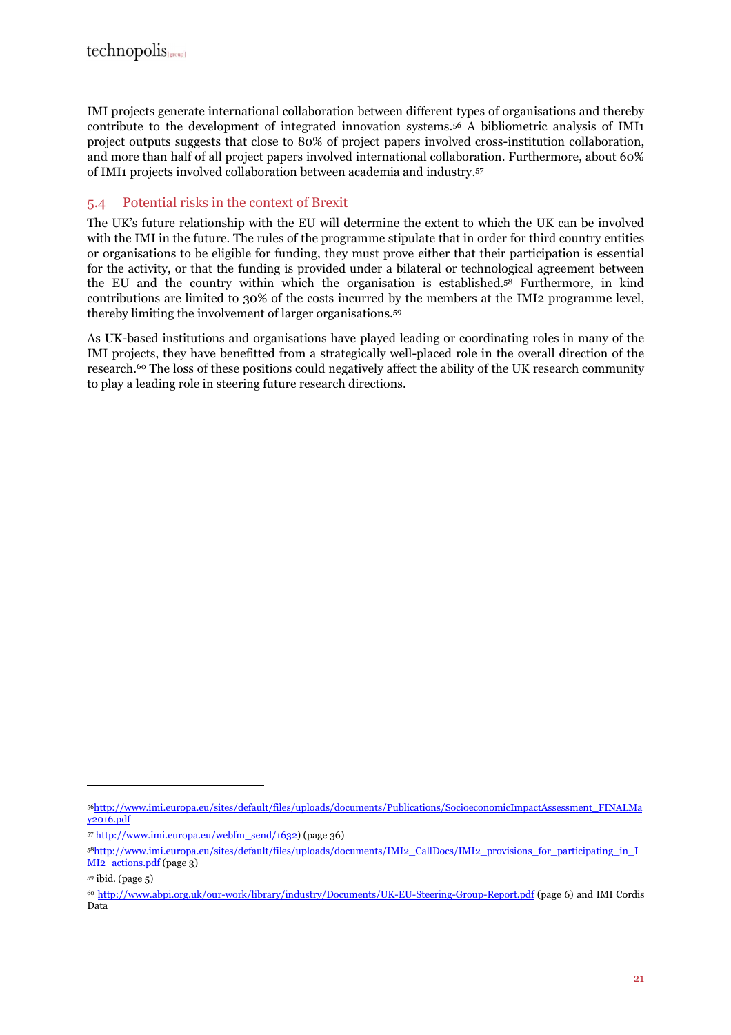IMI projects generate international collaboration between different types of organisations and thereby contribute to the development of integrated innovation systems.56 A bibliometric analysis of IMI1 project outputs suggests that close to 80% of project papers involved cross-institution collaboration, and more than half of all project papers involved international collaboration. Furthermore, about 60% of IMI1 projects involved collaboration between academia and industry.<sup>57</sup>

#### 5.4 Potential risks in the context of Brexit

The UK's future relationship with the EU will determine the extent to which the UK can be involved with the IMI in the future. The rules of the programme stipulate that in order for third country entities or organisations to be eligible for funding, they must prove either that their participation is essential for the activity, or that the funding is provided under a bilateral or technological agreement between the EU and the country within which the organisation is established.58 Furthermore, in kind contributions are limited to 30% of the costs incurred by the members at the IMI2 programme level, thereby limiting the involvement of larger organisations.<sup>59</sup>

As UK-based institutions and organisations have played leading or coordinating roles in many of the IMI projects, they have benefitted from a strategically well-placed role in the overall direction of the research.60 The loss of these positions could negatively affect the ability of the UK research community to play a leading role in steering future research directions.

<sup>56</sup>http://www.imi.europa.eu/sites/default/files/uploads/documents/Publications/SocioeconomicImpactAssessment\_FINALMa y2016.pdf

<sup>57</sup> http://www.imi.europa.eu/webfm\_send/1632) (page 36)

<sup>58</sup>http://www.imi.europa.eu/sites/default/files/uploads/documents/IMI2\_CallDocs/IMI2\_provisions\_for\_participating\_in\_I MI2 actions.pdf (page 3)

<sup>59</sup> ibid. (page 5)

<sup>60</sup> http://www.abpi.org.uk/our-work/library/industry/Documents/UK-EU-Steering-Group-Report.pdf (page 6) and IMI Cordis Data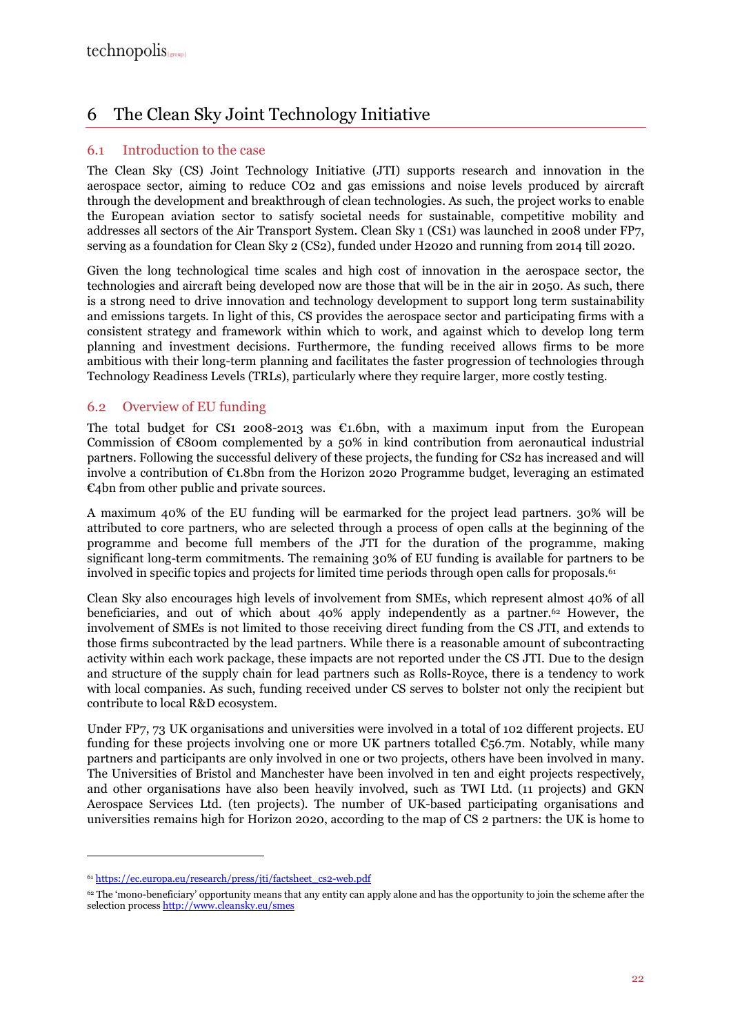## 6 The Clean Sky Joint Technology Initiative

#### 6.1 Introduction to the case

The Clean Sky (CS) Joint Technology Initiative (JTI) supports research and innovation in the aerospace sector, aiming to reduce CO2 and gas emissions and noise levels produced by aircraft through the development and breakthrough of clean technologies. As such, the project works to enable the European aviation sector to satisfy societal needs for sustainable, competitive mobility and addresses all sectors of the Air Transport System. Clean Sky 1 (CS1) was launched in 2008 under FP7, serving as a foundation for Clean Sky 2 (CS2), funded under H2020 and running from 2014 till 2020.

Given the long technological time scales and high cost of innovation in the aerospace sector, the technologies and aircraft being developed now are those that will be in the air in 2050. As such, there is a strong need to drive innovation and technology development to support long term sustainability and emissions targets. In light of this, CS provides the aerospace sector and participating firms with a consistent strategy and framework within which to work, and against which to develop long term planning and investment decisions. Furthermore, the funding received allows firms to be more ambitious with their long-term planning and facilitates the faster progression of technologies through Technology Readiness Levels (TRLs), particularly where they require larger, more costly testing.

#### 6.2 Overview of EU funding

The total budget for CS1 2008-2013 was  $\epsilon$ 1.6bn, with a maximum input from the European Commission of  $\epsilon$ 800m complemented by a 50% in kind contribution from aeronautical industrial partners. Following the successful delivery of these projects, the funding for CS2 has increased and will involve a contribution of €1.8bn from the Horizon 202o Programme budget, leveraging an estimated €4bn from other public and private sources.

A maximum 40% of the EU funding will be earmarked for the project lead partners. 30% will be attributed to core partners, who are selected through a process of open calls at the beginning of the programme and become full members of the JTI for the duration of the programme, making significant long-term commitments. The remaining 30% of EU funding is available for partners to be involved in specific topics and projects for limited time periods through open calls for proposals.<sup>61</sup>

Clean Sky also encourages high levels of involvement from SMEs, which represent almost 40% of all beneficiaries, and out of which about  $40\%$  apply independently as a partner.<sup>62</sup> However, the involvement of SMEs is not limited to those receiving direct funding from the CS JTI, and extends to those firms subcontracted by the lead partners. While there is a reasonable amount of subcontracting activity within each work package, these impacts are not reported under the CS JTI. Due to the design and structure of the supply chain for lead partners such as Rolls-Royce, there is a tendency to work with local companies. As such, funding received under CS serves to bolster not only the recipient but contribute to local R&D ecosystem.

Under FP7, 73 UK organisations and universities were involved in a total of 102 different projects. EU funding for these projects involving one or more UK partners totalled  $\epsilon_{56.7m}$ . Notably, while many partners and participants are only involved in one or two projects, others have been involved in many. The Universities of Bristol and Manchester have been involved in ten and eight projects respectively, and other organisations have also been heavily involved, such as TWI Ltd. (11 projects) and GKN Aerospace Services Ltd. (ten projects). The number of UK-based participating organisations and universities remains high for Horizon 2020, according to the map of CS 2 partners: the UK is home to

<sup>61</sup> https://ec.europa.eu/research/press/jti/factsheet\_cs2-web.pdf

<sup>&</sup>lt;sup>62</sup> The 'mono-beneficiary' opportunity means that any entity can apply alone and has the opportunity to join the scheme after the selection process http://www.cleansky.eu/smes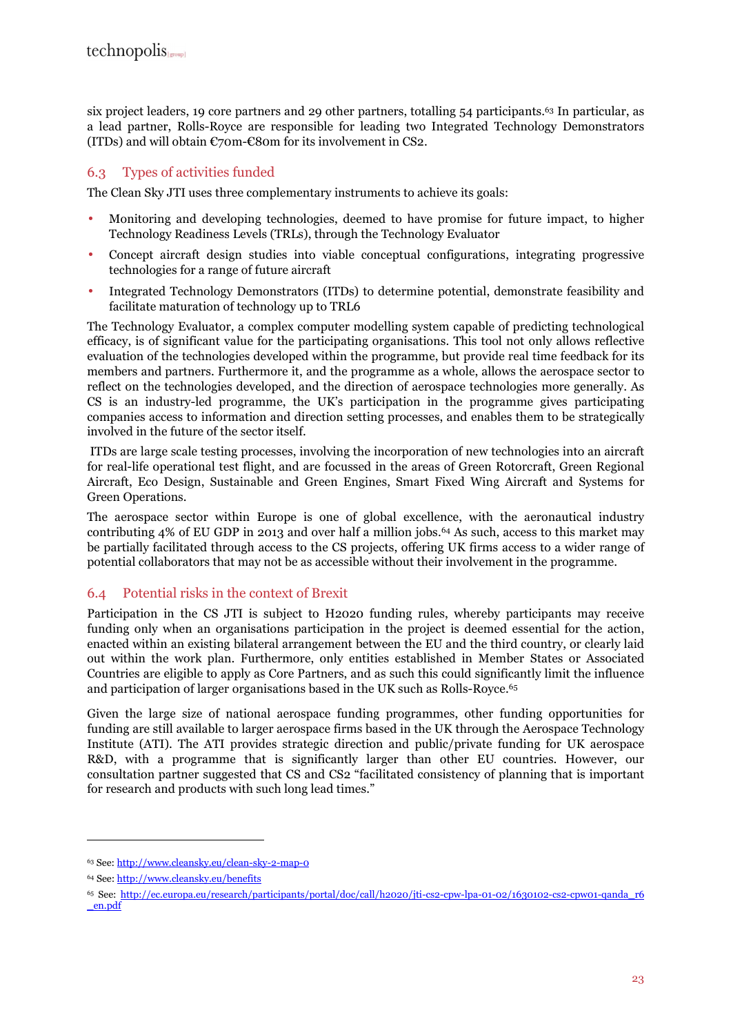six project leaders, 19 core partners and 29 other partners, totalling 54 participants.63 In particular, as a lead partner, Rolls-Royce are responsible for leading two Integrated Technology Demonstrators (ITDs) and will obtain  $\mathcal{C}$ 70m- $\mathcal{C}$ 80m for its involvement in CS2.

#### 6.3 Types of activities funded

The Clean Sky JTI uses three complementary instruments to achieve its goals:

- Monitoring and developing technologies, deemed to have promise for future impact, to higher Technology Readiness Levels (TRLs), through the Technology Evaluator
- Concept aircraft design studies into viable conceptual configurations, integrating progressive technologies for a range of future aircraft
- Integrated Technology Demonstrators (ITDs) to determine potential, demonstrate feasibility and facilitate maturation of technology up to TRL6

The Technology Evaluator, a complex computer modelling system capable of predicting technological efficacy, is of significant value for the participating organisations. This tool not only allows reflective evaluation of the technologies developed within the programme, but provide real time feedback for its members and partners. Furthermore it, and the programme as a whole, allows the aerospace sector to reflect on the technologies developed, and the direction of aerospace technologies more generally. As CS is an industry-led programme, the UK's participation in the programme gives participating companies access to information and direction setting processes, and enables them to be strategically involved in the future of the sector itself.

 ITDs are large scale testing processes, involving the incorporation of new technologies into an aircraft for real-life operational test flight, and are focussed in the areas of Green Rotorcraft, Green Regional Aircraft, Eco Design, Sustainable and Green Engines, Smart Fixed Wing Aircraft and Systems for Green Operations.

The aerospace sector within Europe is one of global excellence, with the aeronautical industry contributing 4% of EU GDP in 2013 and over half a million jobs.64 As such, access to this market may be partially facilitated through access to the CS projects, offering UK firms access to a wider range of potential collaborators that may not be as accessible without their involvement in the programme.

#### 6.4 Potential risks in the context of Brexit

Participation in the CS JTI is subject to H2020 funding rules, whereby participants may receive funding only when an organisations participation in the project is deemed essential for the action, enacted within an existing bilateral arrangement between the EU and the third country, or clearly laid out within the work plan. Furthermore, only entities established in Member States or Associated Countries are eligible to apply as Core Partners, and as such this could significantly limit the influence and participation of larger organisations based in the UK such as Rolls-Royce.<sup>65</sup>

Given the large size of national aerospace funding programmes, other funding opportunities for funding are still available to larger aerospace firms based in the UK through the Aerospace Technology Institute (ATI). The ATI provides strategic direction and public/private funding for UK aerospace R&D, with a programme that is significantly larger than other EU countries. However, our consultation partner suggested that CS and CS2 "facilitated consistency of planning that is important for research and products with such long lead times."

<sup>63</sup> See: http://www.cleansky.eu/clean-sky-2-map-0

<sup>64</sup> See: http://www.cleansky.eu/benefits

<sup>65</sup> See: http://ec.europa.eu/research/participants/portal/doc/call/h2020/jti-cs2-cpw-lpa-01-02/1630102-cs2-cpw01-qanda\_r6 \_en.pdf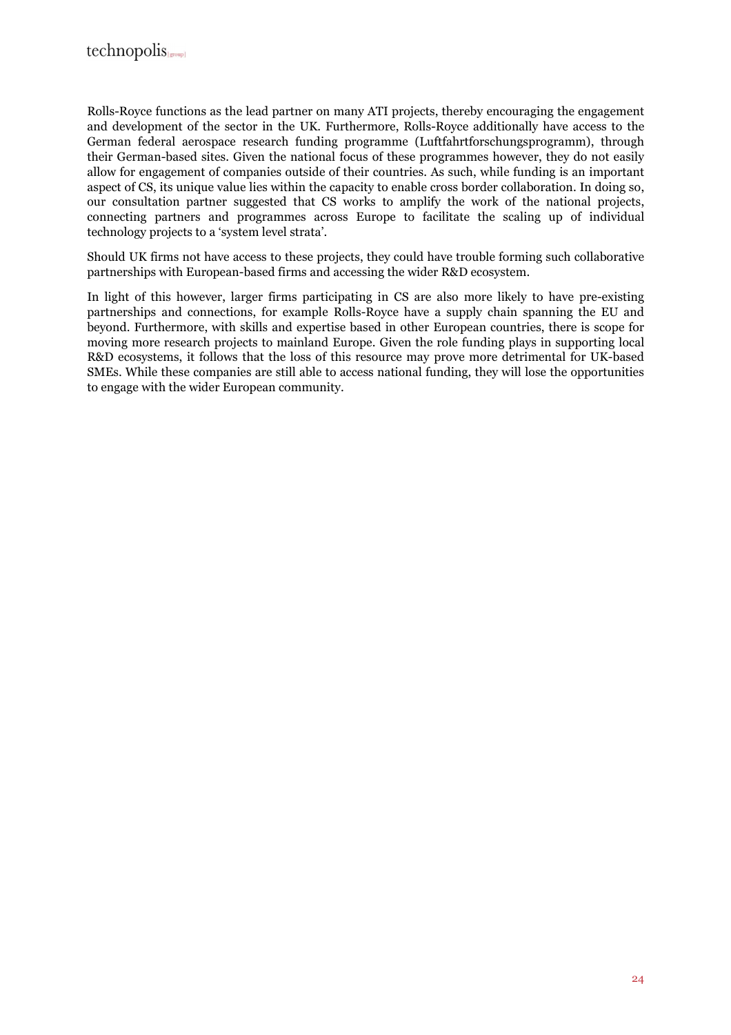Rolls-Royce functions as the lead partner on many ATI projects, thereby encouraging the engagement and development of the sector in the UK. Furthermore, Rolls-Royce additionally have access to the German federal aerospace research funding programme (Luftfahrtforschungsprogramm), through their German-based sites. Given the national focus of these programmes however, they do not easily allow for engagement of companies outside of their countries. As such, while funding is an important aspect of CS, its unique value lies within the capacity to enable cross border collaboration. In doing so, our consultation partner suggested that CS works to amplify the work of the national projects, connecting partners and programmes across Europe to facilitate the scaling up of individual technology projects to a 'system level strata'.

Should UK firms not have access to these projects, they could have trouble forming such collaborative partnerships with European-based firms and accessing the wider R&D ecosystem.

In light of this however, larger firms participating in CS are also more likely to have pre-existing partnerships and connections, for example Rolls-Royce have a supply chain spanning the EU and beyond. Furthermore, with skills and expertise based in other European countries, there is scope for moving more research projects to mainland Europe. Given the role funding plays in supporting local R&D ecosystems, it follows that the loss of this resource may prove more detrimental for UK-based SMEs. While these companies are still able to access national funding, they will lose the opportunities to engage with the wider European community.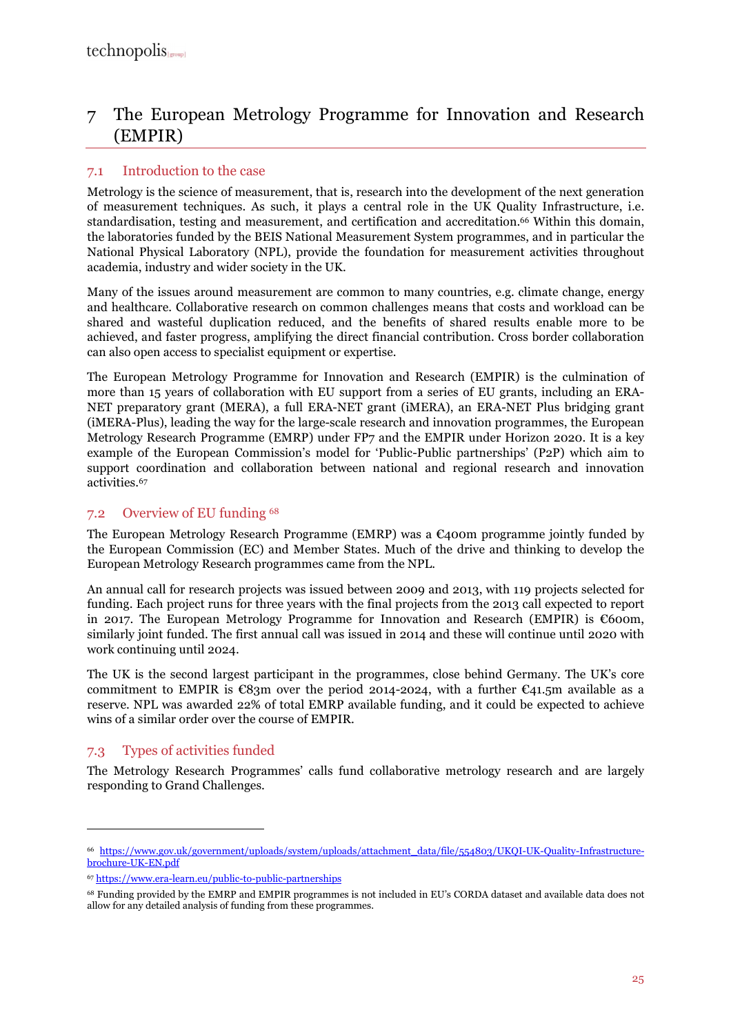## 7 The European Metrology Programme for Innovation and Research (EMPIR)

### 7.1 Introduction to the case

Metrology is the science of measurement, that is, research into the development of the next generation of measurement techniques. As such, it plays a central role in the UK Quality Infrastructure, i.e. standardisation, testing and measurement, and certification and accreditation.<sup>66</sup> Within this domain, the laboratories funded by the BEIS National Measurement System programmes, and in particular the National Physical Laboratory (NPL), provide the foundation for measurement activities throughout academia, industry and wider society in the UK.

Many of the issues around measurement are common to many countries, e.g. climate change, energy and healthcare. Collaborative research on common challenges means that costs and workload can be shared and wasteful duplication reduced, and the benefits of shared results enable more to be achieved, and faster progress, amplifying the direct financial contribution. Cross border collaboration can also open access to specialist equipment or expertise.

The European Metrology Programme for Innovation and Research (EMPIR) is the culmination of more than 15 years of collaboration with EU support from a series of EU grants, including an ERA-NET preparatory grant (MERA), a full ERA-NET grant (iMERA), an ERA-NET Plus bridging grant (iMERA-Plus), leading the way for the large-scale research and innovation programmes, the European Metrology Research Programme (EMRP) under FP7 and the EMPIR under Horizon 2020. It is a key example of the European Commission's model for 'Public-Public partnerships' (P2P) which aim to support coordination and collaboration between national and regional research and innovation activities.<sup>67</sup>

#### 7.2 Overview of EU funding <sup>68</sup>

The European Metrology Research Programme (EMRP) was a  $\epsilon$ 400m programme jointly funded by the European Commission (EC) and Member States. Much of the drive and thinking to develop the European Metrology Research programmes came from the NPL.

An annual call for research projects was issued between 2009 and 2013, with 119 projects selected for funding. Each project runs for three years with the final projects from the 2013 call expected to report in 2017. The European Metrology Programme for Innovation and Research (EMPIR) is  $€600m$ , similarly joint funded. The first annual call was issued in 2014 and these will continue until 2020 with work continuing until 2024.

The UK is the second largest participant in the programmes, close behind Germany. The UK's core commitment to EMPIR is  $\mathcal{C}83m$  over the period 2014-2024, with a further  $\mathcal{C}41.5m$  available as a reserve. NPL was awarded 22% of total EMRP available funding, and it could be expected to achieve wins of a similar order over the course of EMPIR.

### 7.3 Types of activities funded

 $\overline{a}$ 

The Metrology Research Programmes' calls fund collaborative metrology research and are largely responding to Grand Challenges.

<sup>66</sup> https://www.gov.uk/government/uploads/system/uploads/attachment\_data/file/554803/UKQI-UK-Quality-Infrastructurebrochure-UK-EN.pdf

<sup>67</sup> https://www.era-learn.eu/public-to-public-partnerships

<sup>68</sup> Funding provided by the EMRP and EMPIR programmes is not included in EU's CORDA dataset and available data does not allow for any detailed analysis of funding from these programmes.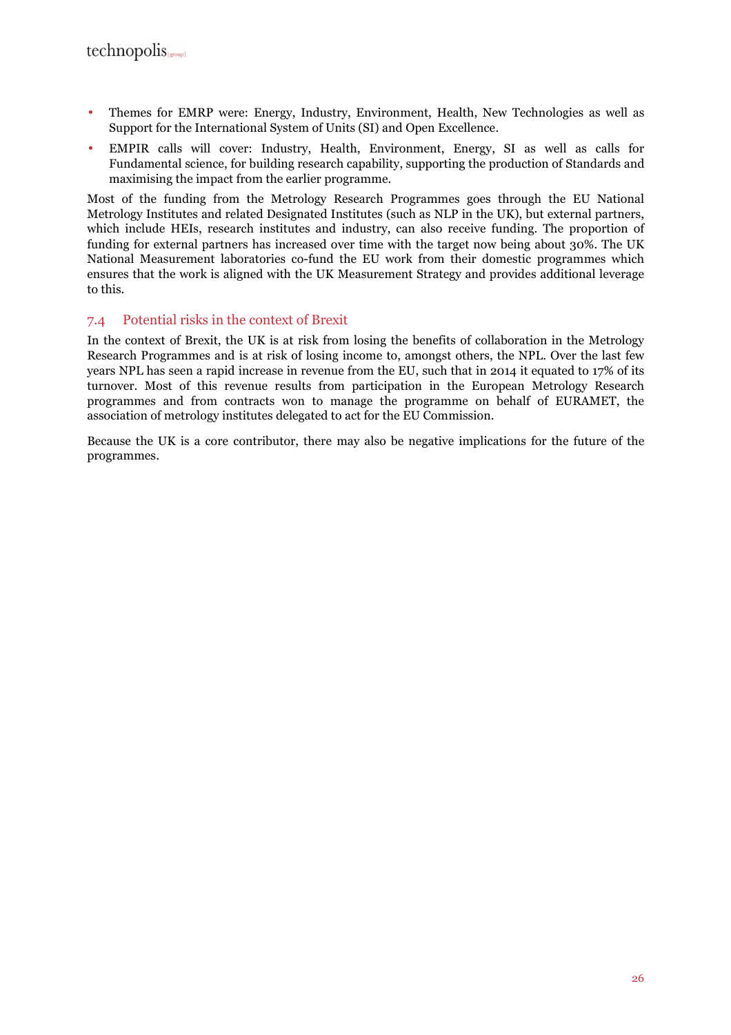- Themes for EMRP were: Energy, Industry, Environment, Health, New Technologies as well as Support for the International System of Units (SI) and Open Excellence.
- EMPIR calls will cover: Industry, Health, Environment, Energy, SI as well as calls for Fundamental science, for building research capability, supporting the production of Standards and maximising the impact from the earlier programme.

Most of the funding from the Metrology Research Programmes goes through the EU National Metrology Institutes and related Designated Institutes (such as NLP in the UK), but external partners, which include HEIs, research institutes and industry, can also receive funding. The proportion of funding for external partners has increased over time with the target now being about 30%. The UK National Measurement laboratories co-fund the EU work from their domestic programmes which ensures that the work is aligned with the UK Measurement Strategy and provides additional leverage to this.

#### 7.4 Potential risks in the context of Brexit

In the context of Brexit, the UK is at risk from losing the benefits of collaboration in the Metrology Research Programmes and is at risk of losing income to, amongst others, the NPL. Over the last few years NPL has seen a rapid increase in revenue from the EU, such that in 2014 it equated to 17% of its turnover. Most of this revenue results from participation in the European Metrology Research programmes and from contracts won to manage the programme on behalf of EURAMET, the association of metrology institutes delegated to act for the EU Commission.

Because the UK is a core contributor, there may also be negative implications for the future of the programmes.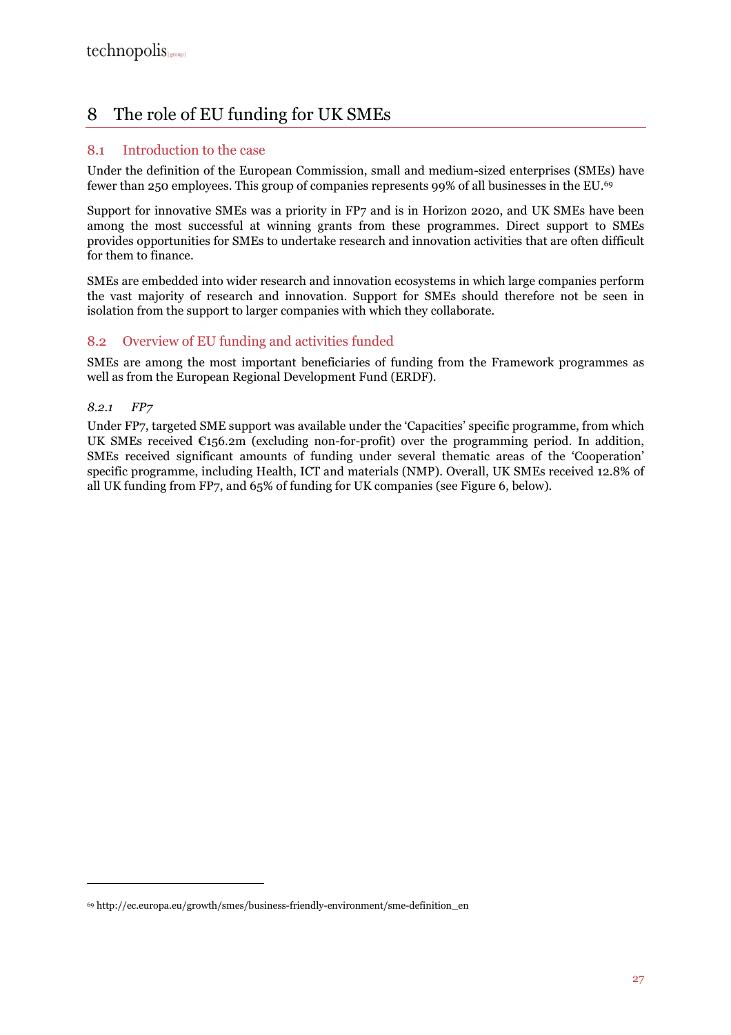## 8 The role of EU funding for UK SMEs

#### 8.1 Introduction to the case

Under the definition of the European Commission, small and medium-sized enterprises (SMEs) have fewer than 250 employees. This group of companies represents 99% of all businesses in the EU.<sup>69</sup>

Support for innovative SMEs was a priority in FP7 and is in Horizon 2020, and UK SMEs have been among the most successful at winning grants from these programmes. Direct support to SMEs provides opportunities for SMEs to undertake research and innovation activities that are often difficult for them to finance.

SMEs are embedded into wider research and innovation ecosystems in which large companies perform the vast majority of research and innovation. Support for SMEs should therefore not be seen in isolation from the support to larger companies with which they collaborate.

#### 8.2 Overview of EU funding and activities funded

SMEs are among the most important beneficiaries of funding from the Framework programmes as well as from the European Regional Development Fund (ERDF).

#### *8.2.1 FP7*

 $\overline{a}$ 

Under FP7, targeted SME support was available under the 'Capacities' specific programme, from which UK SMEs received  $\epsilon_{156.2m}$  (excluding non-for-profit) over the programming period. In addition, SMEs received significant amounts of funding under several thematic areas of the 'Cooperation' specific programme, including Health, ICT and materials (NMP). Overall, UK SMEs received 12.8% of all UK funding from FP7, and 65% of funding for UK companies (see Figure 6, below).

<sup>69</sup> http://ec.europa.eu/growth/smes/business-friendly-environment/sme-definition\_en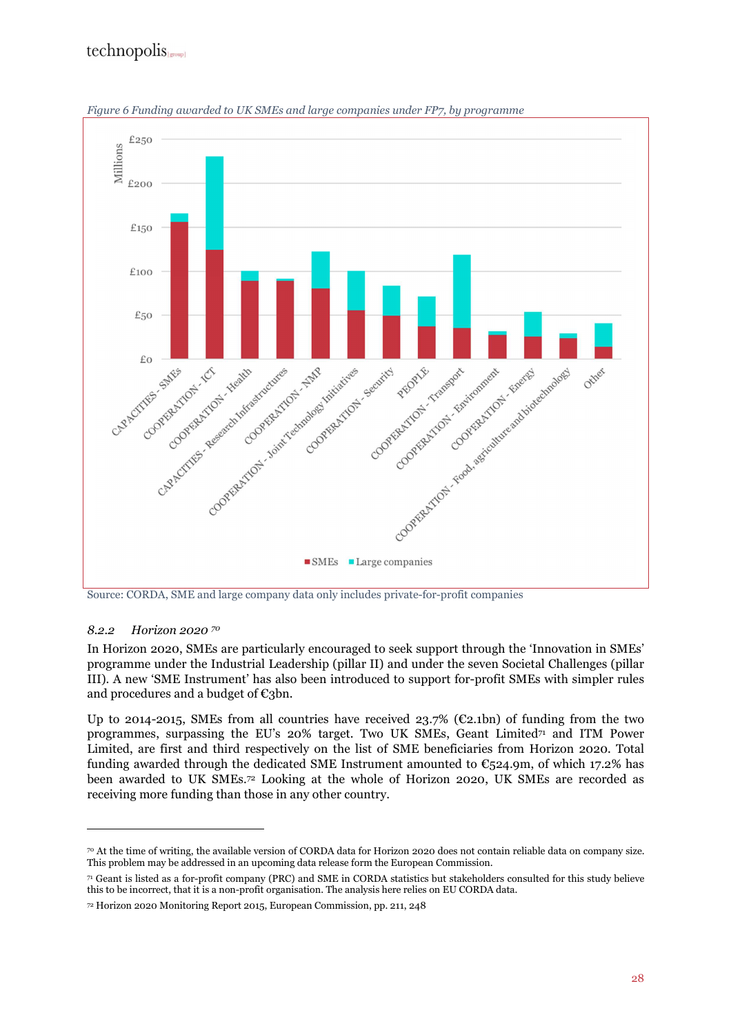## technopolis



*Figure 6 Funding awarded to UK SMEs and large companies under FP7, by programme* 

Source: CORDA, SME and large company data only includes private-for-profit companies

#### *8.2.2 Horizon 2020 <sup>70</sup>*

 $\overline{a}$ 

In Horizon 2020, SMEs are particularly encouraged to seek support through the 'Innovation in SMEs' programme under the Industrial Leadership (pillar II) and under the seven Societal Challenges (pillar III). A new 'SME Instrument' has also been introduced to support for-profit SMEs with simpler rules and procedures and a budget of  $\epsilon_3$ bn.

Up to 2014-2015, SMEs from all countries have received 23.7% ( $\mathcal{E}2.1$ bn) of funding from the two programmes, surpassing the EU's  $20\%$  target. Two UK SMEs, Geant Limited<sup>71</sup> and ITM Power Limited, are first and third respectively on the list of SME beneficiaries from Horizon 2020. Total funding awarded through the dedicated SME Instrument amounted to  $\mathbb{C}_5$ 24.9m, of which 17.2% has been awarded to UK SMEs.72 Looking at the whole of Horizon 2020, UK SMEs are recorded as receiving more funding than those in any other country.

<sup>70</sup> At the time of writing, the available version of CORDA data for Horizon 2020 does not contain reliable data on company size. This problem may be addressed in an upcoming data release form the European Commission.

<sup>71</sup> Geant is listed as a for-profit company (PRC) and SME in CORDA statistics but stakeholders consulted for this study believe this to be incorrect, that it is a non-profit organisation. The analysis here relies on EU CORDA data.

<sup>72</sup> Horizon 2020 Monitoring Report 2015, European Commission, pp. 211, 248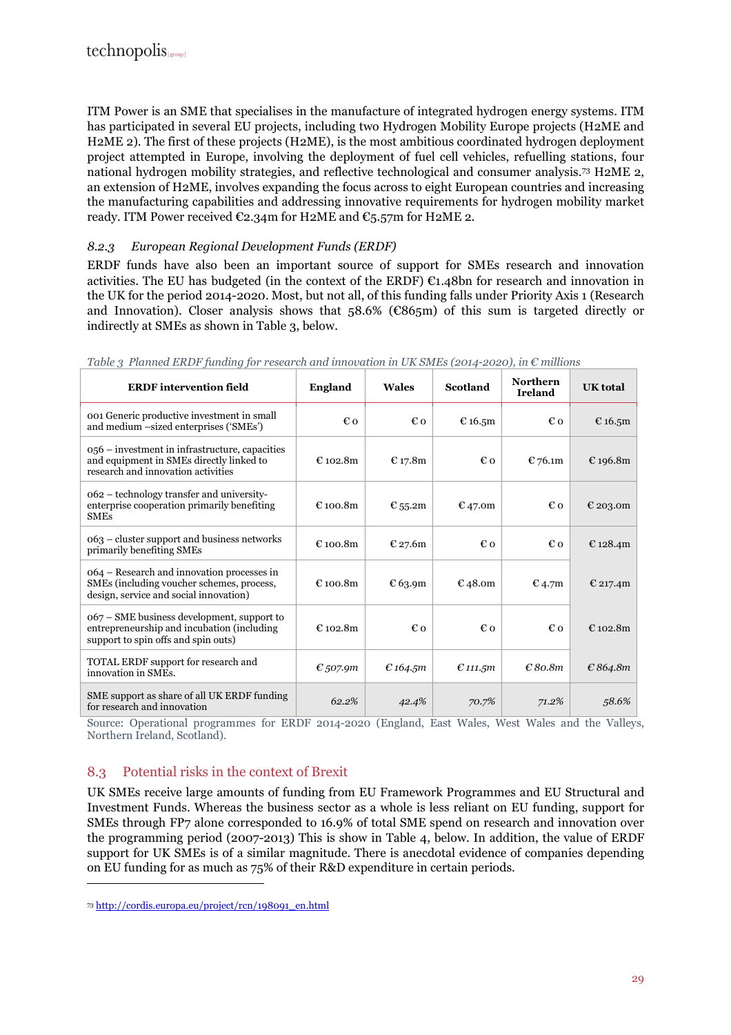ITM Power is an SME that specialises in the manufacture of integrated hydrogen energy systems. ITM has participated in several EU projects, including two Hydrogen Mobility Europe projects (H2ME and H2ME 2). The first of these projects (H2ME), is the most ambitious coordinated hydrogen deployment project attempted in Europe, involving the deployment of fuel cell vehicles, refuelling stations, four national hydrogen mobility strategies, and reflective technological and consumer analysis.73 H2ME 2, an extension of H2ME, involves expanding the focus across to eight European countries and increasing the manufacturing capabilities and addressing innovative requirements for hydrogen mobility market ready. ITM Power received  $\epsilon_{2,34}$ m for H2ME and  $\epsilon_{5,57}$ m for H2ME 2.

#### *8.2.3 European Regional Development Funds (ERDF)*

ERDF funds have also been an important source of support for SMEs research and innovation activities. The EU has budgeted (in the context of the ERDF) €1.48bn for research and innovation in the UK for the period 2014-2020. Most, but not all, of this funding falls under Priority Axis 1 (Research and Innovation). Closer analysis shows that  $58.6\%$  ( $\mathcal{C}865m$ ) of this sum is targeted directly or indirectly at SMEs as shown in Table 3, below.

| <b>ERDF</b> intervention field                                                                                                    | <b>England</b> | Wales    | Scotland   | <b>Northern</b><br><b>Ireland</b> | <b>UK</b> total |
|-----------------------------------------------------------------------------------------------------------------------------------|----------------|----------|------------|-----------------------------------|-----------------|
| 001 Generic productive investment in small<br>and medium -sized enterprises ('SMEs')                                              | €o             | €o       | € 16.5 $m$ | €o                                | € 16.5m         |
| 056 – investment in infrastructure, capacities<br>and equipment in SMEs directly linked to<br>research and innovation activities  | $E$ 102.8m     | € 17.8m  | €o         | € 76.1m                           | € 196.8m        |
| 062 – technology transfer and university-<br>enterprise cooperation primarily benefiting<br><b>SMEs</b>                           | £100.8m        | € 55.2m  | € 47.0m    | €o                                | € 203.0m        |
| 063 – cluster support and business networks<br>primarily benefiting SMEs                                                          | $E$ 100.8m     | € 27.6m  | €o         | €o                                | € 128.4m        |
| 064 – Research and innovation processes in<br>SMEs (including voucher schemes, process,<br>design, service and social innovation) | € 100.8m       | €63.9m   | €48.0m     | $E$ 4.7m                          | € 217.4m        |
| 067 – SME business development, support to<br>entrepreneurship and incubation (including<br>support to spin offs and spin outs)   | $E$ 102.8m     | €o       | €o         | €o                                | € 102.8 $m$     |
| TOTAL ERDF support for research and<br>innovation in SMEs.                                                                        | $E$ , 507.9m   | € 164.5m | $E$ 111.5m | E80.8m                            | E864.8m         |
| SME support as share of all UK ERDF funding<br>for research and innovation                                                        | 62.2%          | 42.4%    | 70.7%      | 71.2%                             | 58.6%           |

|  |  |  |  |  |  |  |  |  | Table 3 Planned ERDF funding for research and innovation in UK SMEs (2014-2020), in $\epsilon$ millions |
|--|--|--|--|--|--|--|--|--|---------------------------------------------------------------------------------------------------------|
|--|--|--|--|--|--|--|--|--|---------------------------------------------------------------------------------------------------------|

Source: Operational programmes for ERDF 2014-2020 (England, East Wales, West Wales and the Valleys, Northern Ireland, Scotland).

### 8.3 Potential risks in the context of Brexit

UK SMEs receive large amounts of funding from EU Framework Programmes and EU Structural and Investment Funds. Whereas the business sector as a whole is less reliant on EU funding, support for SMEs through FP7 alone corresponded to 16.9% of total SME spend on research and innovation over the programming period (2007-2013) This is show in Table 4, below. In addition, the value of ERDF support for UK SMEs is of a similar magnitude. There is anecdotal evidence of companies depending on EU funding for as much as 75% of their R&D expenditure in certain periods.

<sup>73</sup> http://cordis.europa.eu/project/rcn/198091\_en.html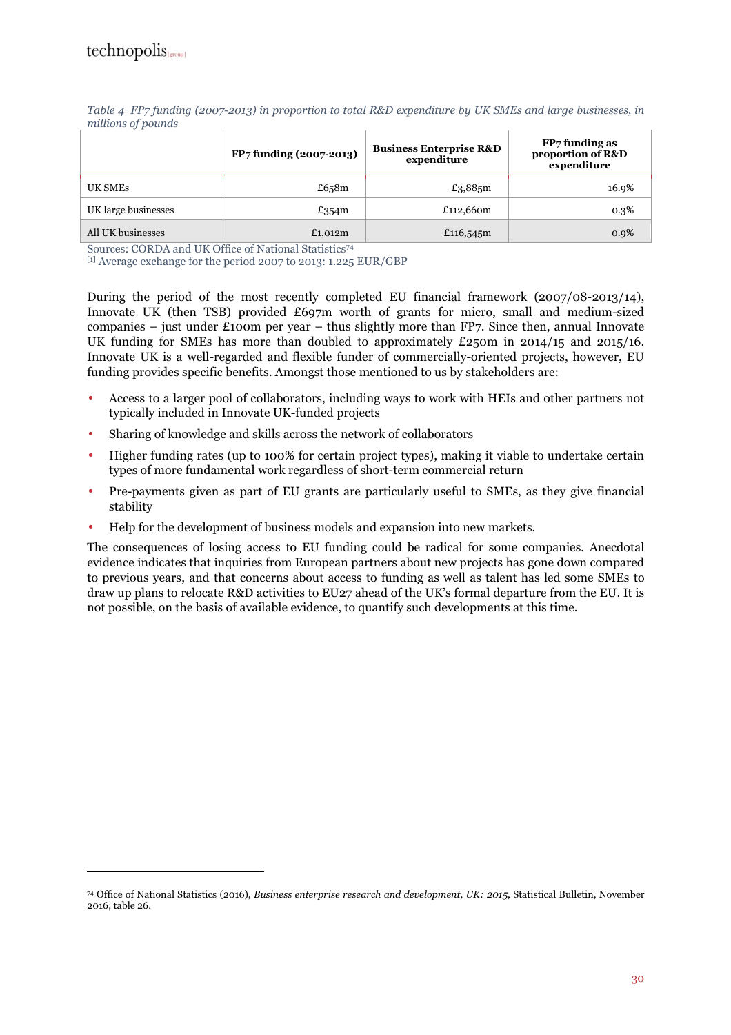$\overline{a}$ 

|                     | FP7 funding (2007-2013) | <b>Business Enterprise R&amp;D</b><br>expenditure | FP7 funding as<br>proportion of R&D<br>expenditure |
|---------------------|-------------------------|---------------------------------------------------|----------------------------------------------------|
| UK SMEs             | £658 $m$                | £3,885m                                           | 16.9%                                              |
| UK large businesses | £354 $m$                | £112,660m                                         | 0.3%                                               |
| All UK businesses   | £1,012m                 | £116,545m                                         | 0.9%                                               |

*Table 4 FP7 funding (2007-2013) in proportion to total R&D expenditure by UK SMEs and large businesses, in millions of pounds* 

Sources: CORDA and UK Office of National Statistics<sup>74</sup>

[1] Average exchange for the period 2007 to 2013: 1.225 EUR/GBP

During the period of the most recently completed EU financial framework (2007/08-2013/14), Innovate UK (then TSB) provided £697m worth of grants for micro, small and medium-sized companies – just under £100m per year – thus slightly more than FP7. Since then, annual Innovate UK funding for SMEs has more than doubled to approximately £250m in 2014/15 and 2015/16. Innovate UK is a well-regarded and flexible funder of commercially-oriented projects, however, EU funding provides specific benefits. Amongst those mentioned to us by stakeholders are:

- Access to a larger pool of collaborators, including ways to work with HEIs and other partners not typically included in Innovate UK-funded projects
- Sharing of knowledge and skills across the network of collaborators
- Higher funding rates (up to 100% for certain project types), making it viable to undertake certain types of more fundamental work regardless of short-term commercial return
- Pre-payments given as part of EU grants are particularly useful to SMEs, as they give financial stability
- Help for the development of business models and expansion into new markets.

The consequences of losing access to EU funding could be radical for some companies. Anecdotal evidence indicates that inquiries from European partners about new projects has gone down compared to previous years, and that concerns about access to funding as well as talent has led some SMEs to draw up plans to relocate R&D activities to EU27 ahead of the UK's formal departure from the EU. It is not possible, on the basis of available evidence, to quantify such developments at this time.

<sup>74</sup> Office of National Statistics (2016), *Business enterprise research and development, UK: 2015*, Statistical Bulletin, November 2016, table 26.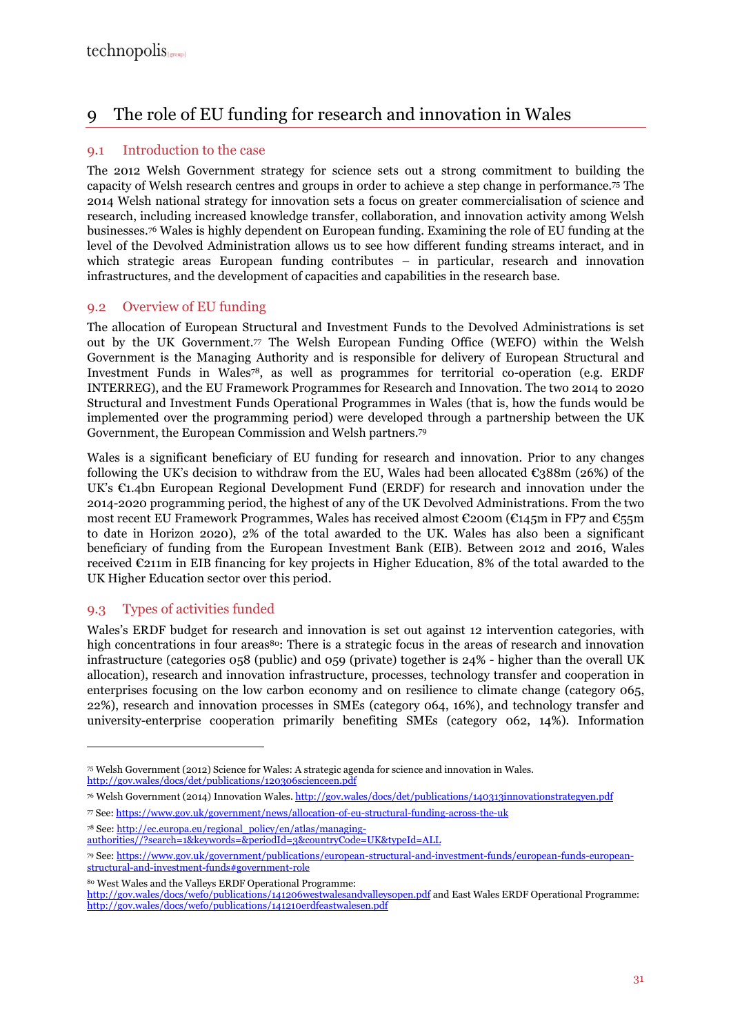## 9 The role of EU funding for research and innovation in Wales

#### 9.1 Introduction to the case

The 2012 Welsh Government strategy for science sets out a strong commitment to building the capacity of Welsh research centres and groups in order to achieve a step change in performance.75 The 2014 Welsh national strategy for innovation sets a focus on greater commercialisation of science and research, including increased knowledge transfer, collaboration, and innovation activity among Welsh businesses.76 Wales is highly dependent on European funding. Examining the role of EU funding at the level of the Devolved Administration allows us to see how different funding streams interact, and in which strategic areas European funding contributes – in particular, research and innovation infrastructures, and the development of capacities and capabilities in the research base.

#### 9.2 Overview of EU funding

The allocation of European Structural and Investment Funds to the Devolved Administrations is set out by the UK Government.77 The Welsh European Funding Office (WEFO) within the Welsh Government is the Managing Authority and is responsible for delivery of European Structural and Investment Funds in Wales78, as well as programmes for territorial co-operation (e.g. ERDF INTERREG), and the EU Framework Programmes for Research and Innovation. The two 2014 to 2020 Structural and Investment Funds Operational Programmes in Wales (that is, how the funds would be implemented over the programming period) were developed through a partnership between the UK Government, the European Commission and Welsh partners.<sup>79</sup>

Wales is a significant beneficiary of EU funding for research and innovation. Prior to any changes following the UK's decision to withdraw from the EU, Wales had been allocated  $\text{\textsterling}388m$  (26%) of the UK's  $\mathfrak{C}_1$ .4bn European Regional Development Fund (ERDF) for research and innovation under the 2014-2020 programming period, the highest of any of the UK Devolved Administrations. From the two most recent EU Framework Programmes, Wales has received almost  $\epsilon$ 200m ( $\epsilon$ 145m in FP7 and  $\epsilon$ 55m to date in Horizon 2020), 2% of the total awarded to the UK. Wales has also been a significant beneficiary of funding from the European Investment Bank (EIB). Between 2012 and 2016, Wales received €211m in EIB financing for key projects in Higher Education, 8% of the total awarded to the UK Higher Education sector over this period.

#### 9.3 Types of activities funded

 $\overline{a}$ 

Wales's ERDF budget for research and innovation is set out against 12 intervention categories, with high concentrations in four areas<sup>80</sup>: There is a strategic focus in the areas of research and innovation infrastructure (categories 058 (public) and 059 (private) together is 24% - higher than the overall UK allocation), research and innovation infrastructure, processes, technology transfer and cooperation in enterprises focusing on the low carbon economy and on resilience to climate change (category 065, 22%), research and innovation processes in SMEs (category 064, 16%), and technology transfer and university-enterprise cooperation primarily benefiting SMEs (category 062, 14%). Information

78 See: http://ec.europa.eu/regional\_policy/en/atlas/managing-

<sup>80</sup> West Wales and the Valleys ERDF Operational Programme:

<sup>75</sup> Welsh Government (2012) Science for Wales: A strategic agenda for science and innovation in Wales. http://gov.wales/docs/det/publications/120306scienceen.pdf

<sup>76</sup> Welsh Government (2014) Innovation Wales. http://gov.wales/docs/det/publications/140313innovationstrategyen.pdf

<sup>77</sup> See: https://www.gov.uk/government/news/allocation-of-eu-structural-funding-across-the-uk

authorities//?search=1&keywords=&periodId=3&countryCode=UK&typeId=ALL

<sup>79</sup> See: https://www.gov.uk/government/publications/european-structural-and-investment-funds/european-funds-europeanstructural-and-investment-funds#government-role

http://gov.wales/docs/wefo/publications/141206westwalesandvalleysopen.pdf and East Wales ERDF Operational Programme: http://gov.wales/docs/wefo/publications/141210erdfeastwalesen.pdf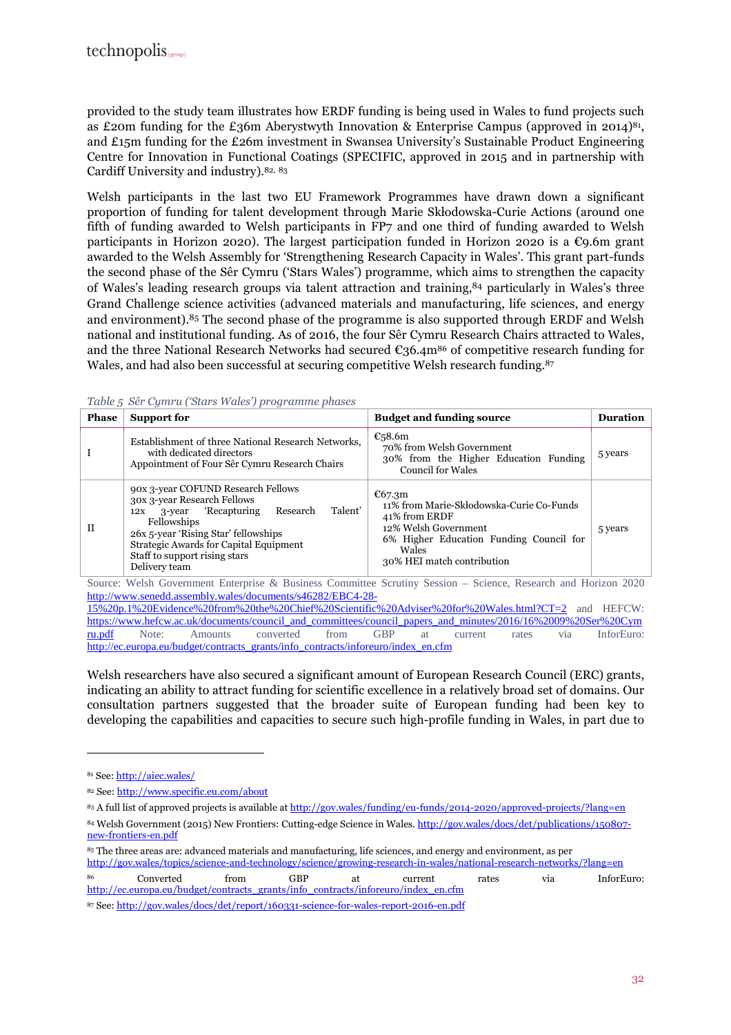provided to the study team illustrates how ERDF funding is being used in Wales to fund projects such as £20m funding for the £36m Aberystwyth Innovation & Enterprise Campus (approved in 2014)<sup>81</sup>, and £15m funding for the £26m investment in Swansea University's Sustainable Product Engineering Centre for Innovation in Functional Coatings (SPECIFIC, approved in 2015 and in partnership with Cardiff University and industry).82, <sup>83</sup>

Welsh participants in the last two EU Framework Programmes have drawn down a significant proportion of funding for talent development through Marie Skłodowska-Curie Actions (around one fifth of funding awarded to Welsh participants in FP7 and one third of funding awarded to Welsh participants in Horizon 2020). The largest participation funded in Horizon 2020 is a  $\epsilon$ 9.6m grant awarded to the Welsh Assembly for 'Strengthening Research Capacity in Wales'. This grant part-funds the second phase of the Sêr Cymru ('Stars Wales') programme, which aims to strengthen the capacity of Wales's leading research groups via talent attraction and training,<sup>84</sup> particularly in Wales's three Grand Challenge science activities (advanced materials and manufacturing, life sciences, and energy and environment).<sup>85</sup> The second phase of the programme is also supported through ERDF and Welsh national and institutional funding. As of 2016, the four Sêr Cymru Research Chairs attracted to Wales, and the three National Research Networks had secured  $\epsilon_3$ 6.4m<sup>86</sup> of competitive research funding for Wales, and had also been successful at securing competitive Welsh research funding.<sup>87</sup>

| <b>Phase</b> | <b>Support for</b>                                                                                                                                                                                                                                                  | <b>Budget and funding source</b>                                                                                                                                              | <b>Duration</b> |
|--------------|---------------------------------------------------------------------------------------------------------------------------------------------------------------------------------------------------------------------------------------------------------------------|-------------------------------------------------------------------------------------------------------------------------------------------------------------------------------|-----------------|
|              | Establishment of three National Research Networks,<br>with dedicated directors<br>Appointment of Four Sêr Cymru Research Chairs                                                                                                                                     | $E$ <sub>5</sub> 8.6m<br>70% from Welsh Government<br>30% from the Higher Education Funding<br><b>Council for Wales</b>                                                       | 5 years         |
| $\mathbf{H}$ | 90x 3-year COFUND Research Fellows<br>30x 3-year Research Fellows<br>Talent'<br>12x 3-year 'Recapturing Research<br>Fellowships<br>26x 5-year 'Rising Star' fellowships<br>Strategic Awards for Capital Equipment<br>Staff to support rising stars<br>Delivery team | E67.3m<br>11% from Marie-Skłodowska-Curie Co-Funds<br>41% from ERDF<br>12% Welsh Government<br>6% Higher Education Funding Council for<br>Wales<br>30% HEI match contribution | 5 years         |

| Table 5 Sêr Cymru ('Stars Wales') programme phases |  |  |  |  |  |  |
|----------------------------------------------------|--|--|--|--|--|--|
|----------------------------------------------------|--|--|--|--|--|--|

Source: Welsh Government Enterprise & Business Committee Scrutiny Session – Science, Research and Horizon 2020 http://www.senedd.assembly.wales/documents/s46282/EBC4-28-

15%20p.1%20Evidence%20from%20the%20Chief%20Scientific%20Adviser%20for%20Wales.html?CT=2 and HEFCW: https://www.hefcw.ac.uk/documents/council\_and\_committees/council\_papers\_and\_minutes/2016/16%2009%20Ser%20Cym ru.pdf Note: Amounts converted from GBP at current rates via InforEuro: http://ec.europa.eu/budget/contracts\_grants/info\_contracts/inforeuro/index\_en.cfm

Welsh researchers have also secured a significant amount of European Research Council (ERC) grants, indicating an ability to attract funding for scientific excellence in a relatively broad set of domains. Our consultation partners suggested that the broader suite of European funding had been key to developing the capabilities and capacities to secure such high-profile funding in Wales, in part due to

 $\overline{a}$ 

<sup>85</sup> The three areas are: advanced materials and manufacturing, life sciences, and energy and environment, as per

http://gov.wales/topics/science-and-technology/science/growing-research-in-wales/national-research-networks/?lang=en

<sup>86</sup> Converted from GBP at current rates via InforEuro: http://ec.europa.eu/budget/contracts\_grants/info\_contracts/inforeuro/index\_en.cfm

87 See: http://gov.wales/docs/det/report/160331-science-for-wales-report-2016-en.pdf

<sup>81</sup> See: http://aiec.wales/

<sup>82</sup> See: http://www.specific.eu.com/about

<sup>83</sup> A full list of approved projects is available at http://gov.wales/funding/eu-funds/2014-2020/approved-projects/?lang=en

<sup>84</sup> Welsh Government (2015) New Frontiers: Cutting-edge Science in Wales. http://gov.wales/docs/det/publications/150807new-frontiers-en.pdf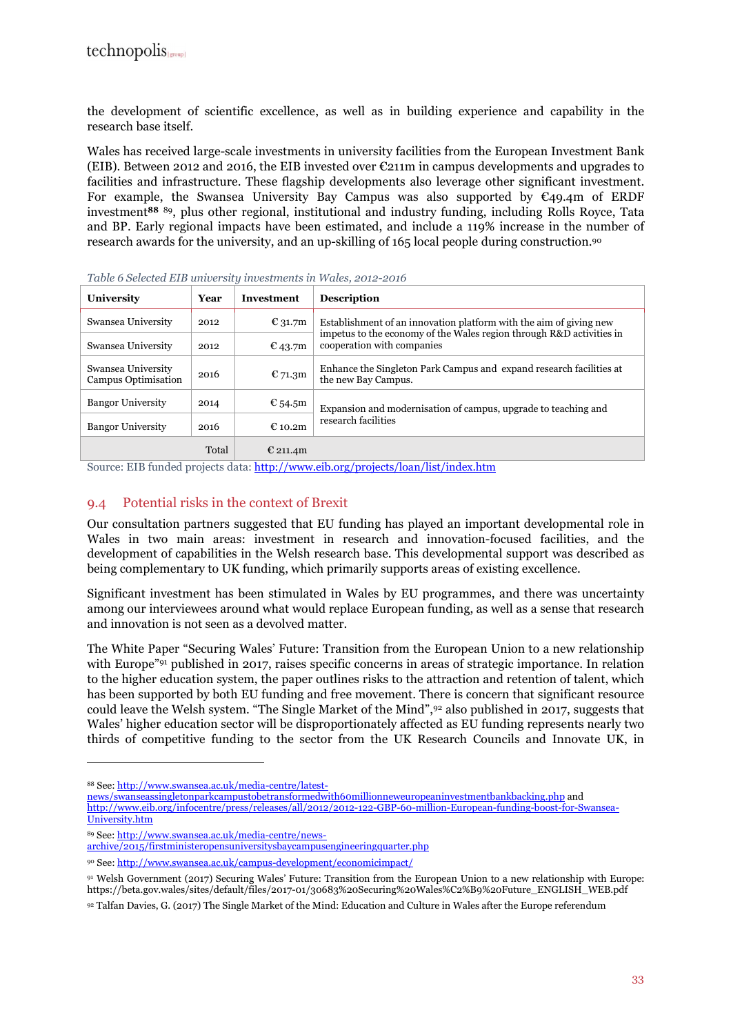the development of scientific excellence, as well as in building experience and capability in the research base itself.

Wales has received large-scale investments in university facilities from the European Investment Bank (EIB). Between 2012 and 2016, the EIB invested over €211m in campus developments and upgrades to facilities and infrastructure. These flagship developments also leverage other significant investment. For example, the Swansea University Bay Campus was also supported by  $\epsilon_{49.4m}$  of ERDF investment**<sup>88</sup>** <sup>89</sup>, plus other regional, institutional and industry funding, including Rolls Royce, Tata and BP. Early regional impacts have been estimated, and include a 119% increase in the number of research awards for the university, and an up-skilling of 165 local people during construction.<sup>90</sup>

| $\ldots$ . The contraction of the contract of the contraction of $\ldots$ . The contract $\ldots$ is the contract of $\ldots$ |       |             |                                                                                                    |  |
|-------------------------------------------------------------------------------------------------------------------------------|-------|-------------|----------------------------------------------------------------------------------------------------|--|
| University                                                                                                                    | Year  | Investment  | <b>Description</b>                                                                                 |  |
| Swansea University                                                                                                            | 2012  | $E_{31.7m}$ | Establishment of an innovation platform with the aim of giving new                                 |  |
| Swansea University                                                                                                            | 2012  | $E$ 43.7m   | impetus to the economy of the Wales region through R&D activities in<br>cooperation with companies |  |
| Swansea University<br>Campus Optimisation                                                                                     | 2016  | $E$ 71.3m   | Enhance the Singleton Park Campus and expand research facilities at<br>the new Bay Campus.         |  |
| <b>Bangor University</b>                                                                                                      | 2014  | € 54.5m     | Expansion and modernisation of campus, upgrade to teaching and                                     |  |
| <b>Bangor University</b>                                                                                                      | 2016  | $E$ 10.2m   | research facilities                                                                                |  |
|                                                                                                                               | Total | € 211.4m    |                                                                                                    |  |

*Table 6 Selected EIB university investments in Wales, 2012-2016* 

Source: EIB funded projects data: http://www.eib.org/projects/loan/list/index.htm

#### 9.4 Potential risks in the context of Brexit

Our consultation partners suggested that EU funding has played an important developmental role in Wales in two main areas: investment in research and innovation-focused facilities, and the development of capabilities in the Welsh research base. This developmental support was described as being complementary to UK funding, which primarily supports areas of existing excellence.

Significant investment has been stimulated in Wales by EU programmes, and there was uncertainty among our interviewees around what would replace European funding, as well as a sense that research and innovation is not seen as a devolved matter.

The White Paper "Securing Wales' Future: Transition from the European Union to a new relationship with Europe"<sup>91</sup> published in 2017, raises specific concerns in areas of strategic importance. In relation to the higher education system, the paper outlines risks to the attraction and retention of talent, which has been supported by both EU funding and free movement. There is concern that significant resource could leave the Welsh system. "The Single Market of the Mind",92 also published in 2017, suggests that Wales' higher education sector will be disproportionately affected as EU funding represents nearly two thirds of competitive funding to the sector from the UK Research Councils and Innovate UK, in

 $\overline{a}$ 

news/swanseassingletonparkcampustobetransformedwith60millionneweuropeaninvestmentbankbacking.php and http://www.eib.org/infocentre/press/releases/all/2012/2012-122-GBP-60-million-European-funding-boost-for-Swansea-University.htm

<sup>88</sup> See: http://www.swansea.ac.uk/media-centre/latest-

<sup>89</sup> See: http://www.swansea.ac.uk/media-centre/news-

archive/2015/firstministeropensuniversitysbaycampusengineeringquarter.php

<sup>90</sup> See: http://www.swansea.ac.uk/campus-development/economicimpact/

<sup>91</sup> Welsh Government (2017) Securing Wales' Future: Transition from the European Union to a new relationship with Europe: https://beta.gov.wales/sites/default/files/2017-01/30683%20Securing%20Wales%C2%B9%20Future\_ENGLISH\_WEB.pdf

<sup>92</sup> Talfan Davies, G. (2017) The Single Market of the Mind: Education and Culture in Wales after the Europe referendum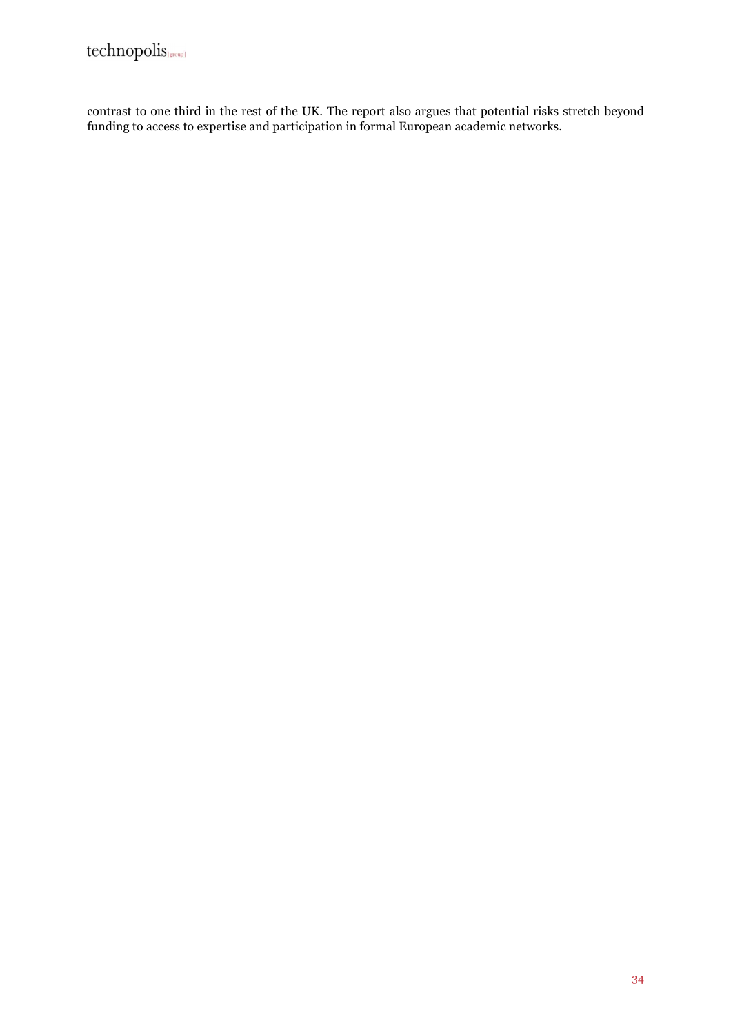contrast to one third in the rest of the UK. The report also argues that potential risks stretch beyond funding to access to expertise and participation in formal European academic networks.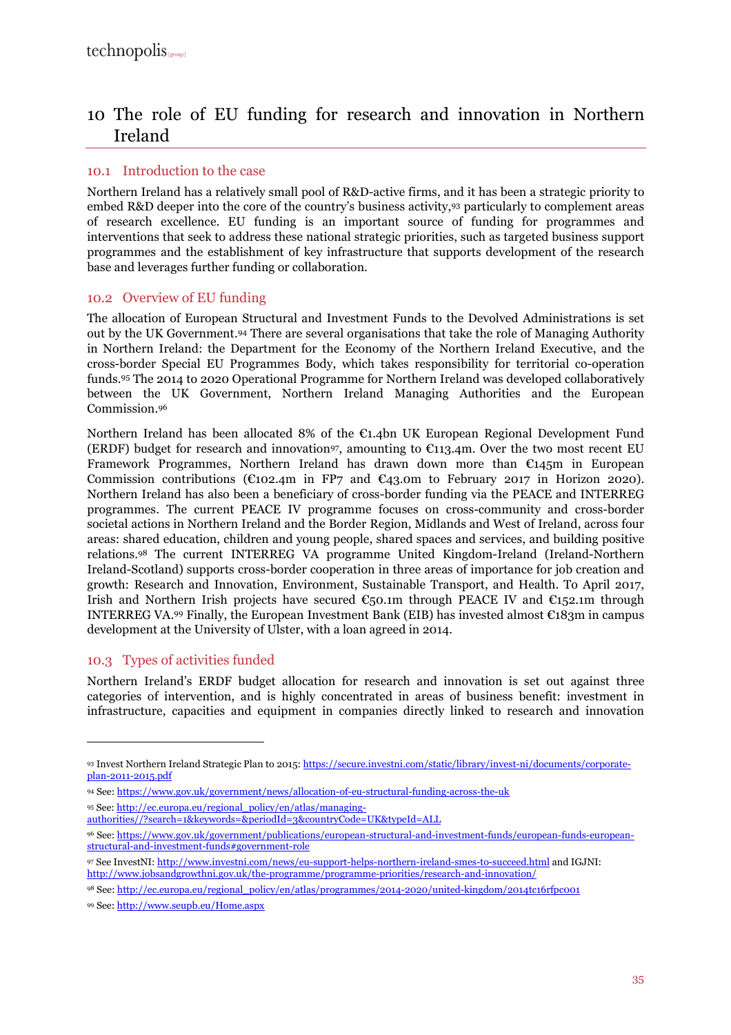## 10 The role of EU funding for research and innovation in Northern Ireland

#### 10.1 Introduction to the case

Northern Ireland has a relatively small pool of R&D-active firms, and it has been a strategic priority to embed R&D deeper into the core of the country's business activity,93 particularly to complement areas of research excellence. EU funding is an important source of funding for programmes and interventions that seek to address these national strategic priorities, such as targeted business support programmes and the establishment of key infrastructure that supports development of the research base and leverages further funding or collaboration.

#### 10.2 Overview of EU funding

The allocation of European Structural and Investment Funds to the Devolved Administrations is set out by the UK Government.94 There are several organisations that take the role of Managing Authority in Northern Ireland: the Department for the Economy of the Northern Ireland Executive, and the cross-border Special EU Programmes Body, which takes responsibility for territorial co-operation funds.95 The 2014 to 2020 Operational Programme for Northern Ireland was developed collaboratively between the UK Government, Northern Ireland Managing Authorities and the European Commission.<sup>96</sup>

Northern Ireland has been allocated 8% of the €1.4bn UK European Regional Development Fund (ERDF) budget for research and innovation<sup>97</sup>, amounting to  $\epsilon$ 113.4m. Over the two most recent EU Framework Programmes, Northern Ireland has drawn down more than  $E145m$  in European Commission contributions (€102.4m in FP7 and €43.0m to February 2017 in Horizon 2020). Northern Ireland has also been a beneficiary of cross-border funding via the PEACE and INTERREG programmes. The current PEACE IV programme focuses on cross-community and cross-border societal actions in Northern Ireland and the Border Region, Midlands and West of Ireland, across four areas: shared education, children and young people, shared spaces and services, and building positive relations.98 The current INTERREG VA programme United Kingdom-Ireland (Ireland-Northern Ireland-Scotland) supports cross-border cooperation in three areas of importance for job creation and growth: Research and Innovation, Environment, Sustainable Transport, and Health. To April 2017, Irish and Northern Irish projects have secured  $\epsilon_{50.1m}$  through PEACE IV and  $\epsilon_{152.1m}$  through INTERREG VA.99 Finally, the European Investment Bank (EIB) has invested almost  $\epsilon$ 183m in campus development at the University of Ulster, with a loan agreed in 2014.

#### 10.3 Types of activities funded

 $\overline{a}$ 

Northern Ireland's ERDF budget allocation for research and innovation is set out against three categories of intervention, and is highly concentrated in areas of business benefit: investment in infrastructure, capacities and equipment in companies directly linked to research and innovation

<sup>93</sup> Invest Northern Ireland Strategic Plan to 2015: https://secure.investni.com/static/library/invest-ni/documents/corporateplan-2011-2015.pdf

<sup>94</sup> See: https://www.gov.uk/government/news/allocation-of-eu-structural-funding-across-the-uk

<sup>95</sup> See: http://ec.europa.eu/regional\_policy/en/atlas/managing-

authorities//?search=1&keywords=&periodId=3&countryCode=UK&typeId=ALL

<sup>96</sup> See: https://www.gov.uk/government/publications/european-structural-and-investment-funds/european-funds-europeanstructural-and-investment-funds#government-role

<sup>97</sup> See InvestNI: http://www.investni.com/news/eu-support-helps-northern-ireland-smes-to-succeed.html and IGJNI: http://www.jobsandgrowthni.gov.uk/the-programme/programme-priorities/research-and-innovation/

<sup>98</sup> See: http://ec.europa.eu/regional\_policy/en/atlas/programmes/2014-2020/united-kingdom/2014tc16rfpc001

<sup>99</sup> See: http://www.seupb.eu/Home.aspx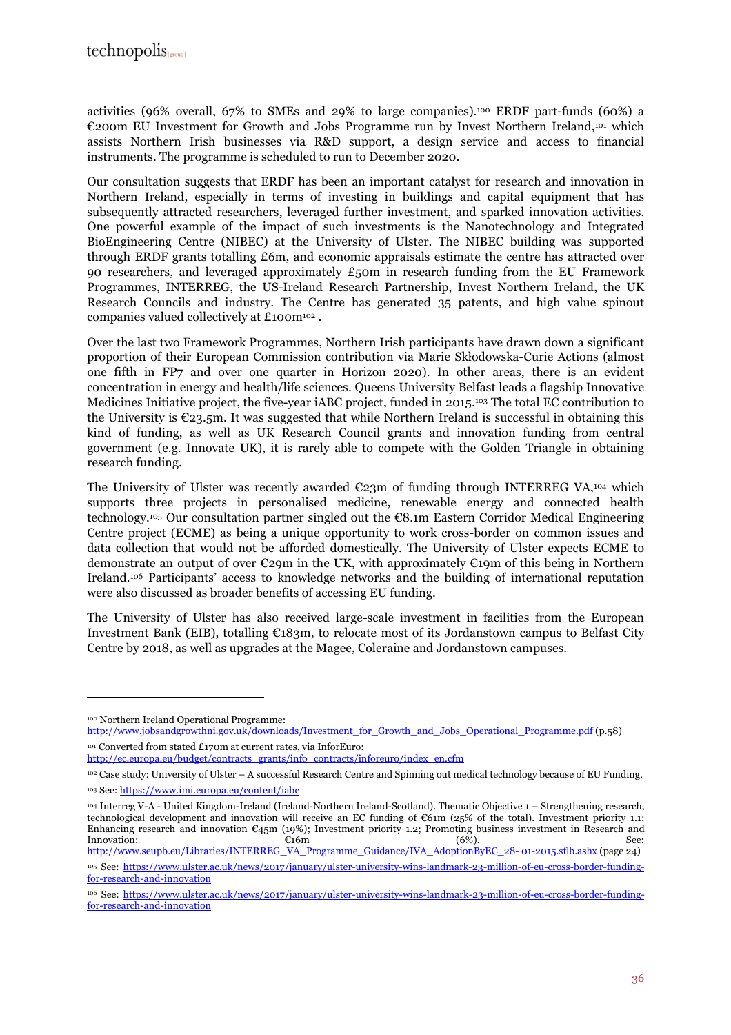activities (96% overall, 67% to SMEs and 29% to large companies).100 ERDF part-funds (60%) a €200m EU Investment for Growth and Jobs Programme run by Invest Northern Ireland,101 which assists Northern Irish businesses via R&D support, a design service and access to financial instruments. The programme is scheduled to run to December 2020.

Our consultation suggests that ERDF has been an important catalyst for research and innovation in Northern Ireland, especially in terms of investing in buildings and capital equipment that has subsequently attracted researchers, leveraged further investment, and sparked innovation activities. One powerful example of the impact of such investments is the Nanotechnology and Integrated BioEngineering Centre (NIBEC) at the University of Ulster. The NIBEC building was supported through ERDF grants totalling £6m, and economic appraisals estimate the centre has attracted over 90 researchers, and leveraged approximately  $£50m$  in research funding from the EU Framework Programmes, INTERREG, the US-Ireland Research Partnership, Invest Northern Ireland, the UK Research Councils and industry. The Centre has generated 35 patents, and high value spinout companies valued collectively at £100m102 .

Over the last two Framework Programmes, Northern Irish participants have drawn down a significant proportion of their European Commission contribution via Marie Skłodowska-Curie Actions (almost one fifth in FP7 and over one quarter in Horizon 2020). In other areas, there is an evident concentration in energy and health/life sciences. Queens University Belfast leads a flagship Innovative Medicines Initiative project, the five-year iABC project, funded in 2015.103 The total EC contribution to the University is  $\mathcal{L}_{23.5}$ m. It was suggested that while Northern Ireland is successful in obtaining this kind of funding, as well as UK Research Council grants and innovation funding from central government (e.g. Innovate UK), it is rarely able to compete with the Golden Triangle in obtaining research funding.

The University of Ulster was recently awarded  $\epsilon$ 23m of funding through INTERREG VA,<sup>104</sup> which supports three projects in personalised medicine, renewable energy and connected health technology.105 Our consultation partner singled out the €8.1m Eastern Corridor Medical Engineering Centre project (ECME) as being a unique opportunity to work cross-border on common issues and data collection that would not be afforded domestically. The University of Ulster expects ECME to demonstrate an output of over €29m in the UK, with approximately €19m of this being in Northern Ireland.106 Participants' access to knowledge networks and the building of international reputation were also discussed as broader benefits of accessing EU funding.

The University of Ulster has also received large-scale investment in facilities from the European Investment Bank (EIB), totalling €183m, to relocate most of its Jordanstown campus to Belfast City Centre by 2018, as well as upgrades at the Magee, Coleraine and Jordanstown campuses.

 $\overline{a}$ 

<sup>104</sup> Interreg V-A - United Kingdom-Ireland (Ireland-Northern Ireland-Scotland). Thematic Objective 1 – Strengthening research, technological development and innovation will receive an EC funding of €61m (25% of the total). Investment priority 1.1: Enhancing research and innovation €45m (19%); Investment priority 1.2; Promoting business investment in Research and Innovation: See:  $\epsilon$ 16m (6%). See: http://www.seupb.eu/Libraries/INTERREG\_VA\_Programme\_Guidance/IVA\_AdoptionByEC\_28- 01-2015.sflb.ashx (page 24)

<sup>100</sup> Northern Ireland Operational Programme:

http://www.jobsandgrowthni.gov.uk/downloads/Investment\_for\_Growth\_and\_Jobs\_Operational\_Programme.pdf (p.58) <sup>101</sup> Converted from stated £170m at current rates, via InforEuro:

http://ec.europa.eu/budget/contracts\_grants/info\_contracts/inforeuro/index\_en.cfm

<sup>102</sup> Case study: University of Ulster – A successful Research Centre and Spinning out medical technology because of EU Funding. <sup>103</sup> See: https://www.imi.europa.eu/content/iabc

<sup>&</sup>lt;sup>105</sup> See: https://www.ulster.ac.uk/news/2017/january/ulster-university-wins-landmark-23-million-of-eu-cross-border-fundingfor-research-and-innovation

<sup>106</sup> See: https://www.ulster.ac.uk/news/2017/january/ulster-university-wins-landmark-23-million-of-eu-cross-border-fundingfor-research-and-innovation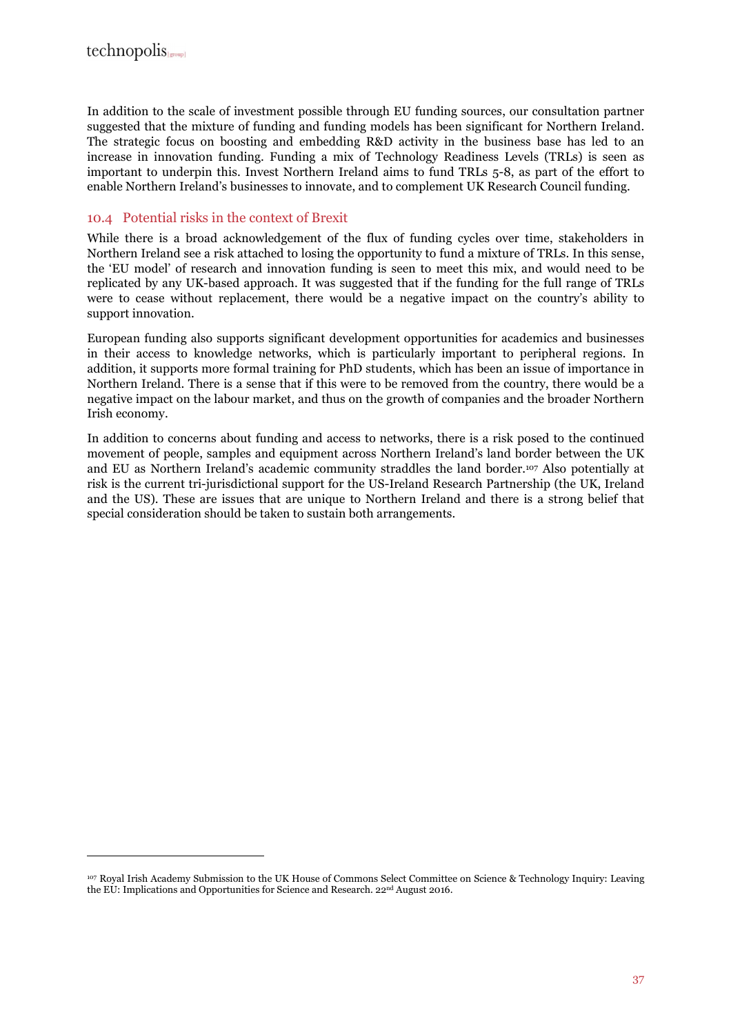$\overline{a}$ 

In addition to the scale of investment possible through EU funding sources, our consultation partner suggested that the mixture of funding and funding models has been significant for Northern Ireland. The strategic focus on boosting and embedding R&D activity in the business base has led to an increase in innovation funding. Funding a mix of Technology Readiness Levels (TRLs) is seen as important to underpin this. Invest Northern Ireland aims to fund TRLs 5-8, as part of the effort to enable Northern Ireland's businesses to innovate, and to complement UK Research Council funding.

#### 10.4 Potential risks in the context of Brexit

While there is a broad acknowledgement of the flux of funding cycles over time, stakeholders in Northern Ireland see a risk attached to losing the opportunity to fund a mixture of TRLs. In this sense, the 'EU model' of research and innovation funding is seen to meet this mix, and would need to be replicated by any UK-based approach. It was suggested that if the funding for the full range of TRLs were to cease without replacement, there would be a negative impact on the country's ability to support innovation.

European funding also supports significant development opportunities for academics and businesses in their access to knowledge networks, which is particularly important to peripheral regions. In addition, it supports more formal training for PhD students, which has been an issue of importance in Northern Ireland. There is a sense that if this were to be removed from the country, there would be a negative impact on the labour market, and thus on the growth of companies and the broader Northern Irish economy.

In addition to concerns about funding and access to networks, there is a risk posed to the continued movement of people, samples and equipment across Northern Ireland's land border between the UK and EU as Northern Ireland's academic community straddles the land border.107 Also potentially at risk is the current tri-jurisdictional support for the US-Ireland Research Partnership (the UK, Ireland and the US). These are issues that are unique to Northern Ireland and there is a strong belief that special consideration should be taken to sustain both arrangements.

<sup>107</sup> Royal Irish Academy Submission to the UK House of Commons Select Committee on Science & Technology Inquiry: Leaving the EU: Implications and Opportunities for Science and Research. 22nd August 2016.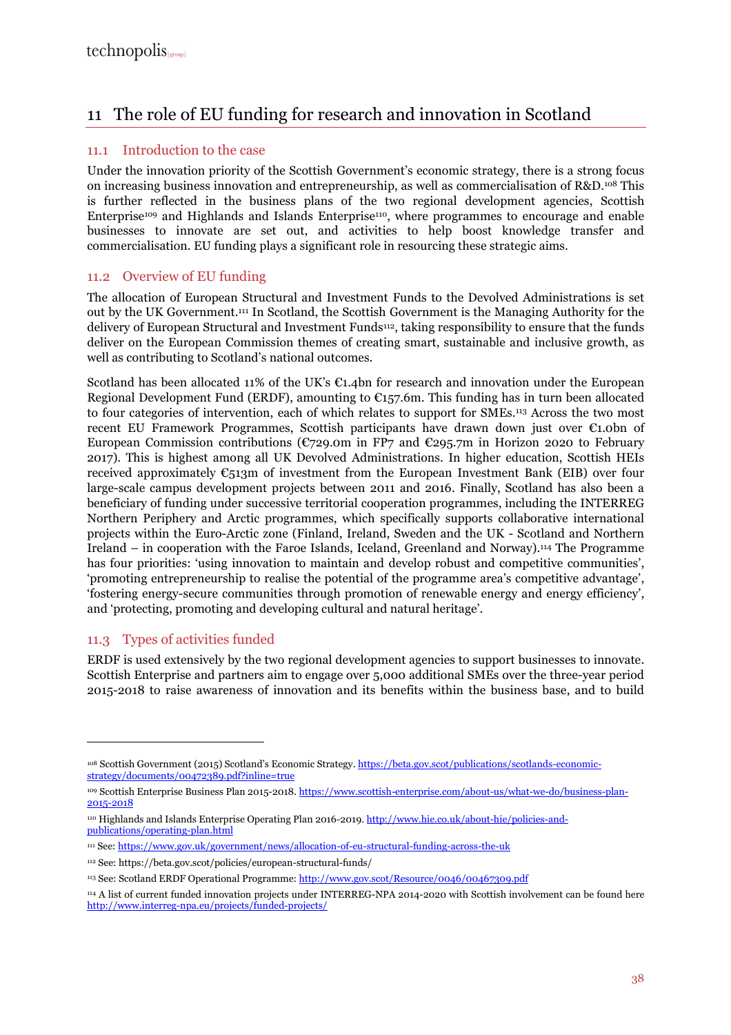## 11 The role of EU funding for research and innovation in Scotland

#### 11.1 Introduction to the case

Under the innovation priority of the Scottish Government's economic strategy, there is a strong focus on increasing business innovation and entrepreneurship, as well as commercialisation of R&D.108 This is further reflected in the business plans of the two regional development agencies, Scottish Enterprise109 and Highlands and Islands Enterprise110, where programmes to encourage and enable businesses to innovate are set out, and activities to help boost knowledge transfer and commercialisation. EU funding plays a significant role in resourcing these strategic aims.

#### 11.2 Overview of EU funding

The allocation of European Structural and Investment Funds to the Devolved Administrations is set out by the UK Government.111 In Scotland, the Scottish Government is the Managing Authority for the delivery of European Structural and Investment Funds <sup>112</sup>, taking responsibility to ensure that the funds deliver on the European Commission themes of creating smart, sustainable and inclusive growth, as well as contributing to Scotland's national outcomes.

Scotland has been allocated 11% of the UK's  $\mathfrak{C}1.4$ bn for research and innovation under the European Regional Development Fund (ERDF), amounting to  $C_{157}$ .6m. This funding has in turn been allocated to four categories of intervention, each of which relates to support for SMEs.113 Across the two most recent EU Framework Programmes, Scottish participants have drawn down just over €1.0bn of European Commission contributions ( $\mathbb{C}$ 729.0m in FP7 and  $\mathbb{C}$ 295.7m in Horizon 2020 to February 2017). This is highest among all UK Devolved Administrations. In higher education, Scottish HEIs received approximately  $\mathfrak{C}_{513}$ m of investment from the European Investment Bank (EIB) over four large-scale campus development projects between 2011 and 2016. Finally, Scotland has also been a beneficiary of funding under successive territorial cooperation programmes, including the INTERREG Northern Periphery and Arctic programmes, which specifically supports collaborative international projects within the Euro-Arctic zone (Finland, Ireland, Sweden and the UK - Scotland and Northern Ireland – in cooperation with the Faroe Islands, Iceland, Greenland and Norway).114 The Programme has four priorities: 'using innovation to maintain and develop robust and competitive communities', 'promoting entrepreneurship to realise the potential of the programme area's competitive advantage', 'fostering energy-secure communities through promotion of renewable energy and energy efficiency', and 'protecting, promoting and developing cultural and natural heritage'.

#### 11.3 Types of activities funded

 $\overline{a}$ 

ERDF is used extensively by the two regional development agencies to support businesses to innovate. Scottish Enterprise and partners aim to engage over 5,000 additional SMEs over the three-year period 2015-2018 to raise awareness of innovation and its benefits within the business base, and to build

<sup>108</sup> Scottish Government (2015) Scotland's Economic Strategy. https://beta.gov.scot/publications/scotlands-economicstrategy/documents/00472389.pdf?inline=true

<sup>&</sup>lt;sup>109</sup> Scottish Enterprise Business Plan 2015-2018. https://www.scottish-enterprise.com/about-us/what-we-do/business-plan-2015-2018

<sup>110</sup> Highlands and Islands Enterprise Operating Plan 2016-2019. http://www.hie.co.uk/about-hie/policies-andpublications/operating-plan.html

<sup>111</sup> See: https://www.gov.uk/government/news/allocation-of-eu-structural-funding-across-the-uk

<sup>112</sup> See: https://beta.gov.scot/policies/european-structural-funds/

<sup>113</sup> See: Scotland ERDF Operational Programme: http://www.gov.scot/Resource/0046/00467309.pdf

<sup>114</sup> A list of current funded innovation projects under INTERREG-NPA 2014-2020 with Scottish involvement can be found here http://www.interreg-npa.eu/projects/funded-projects/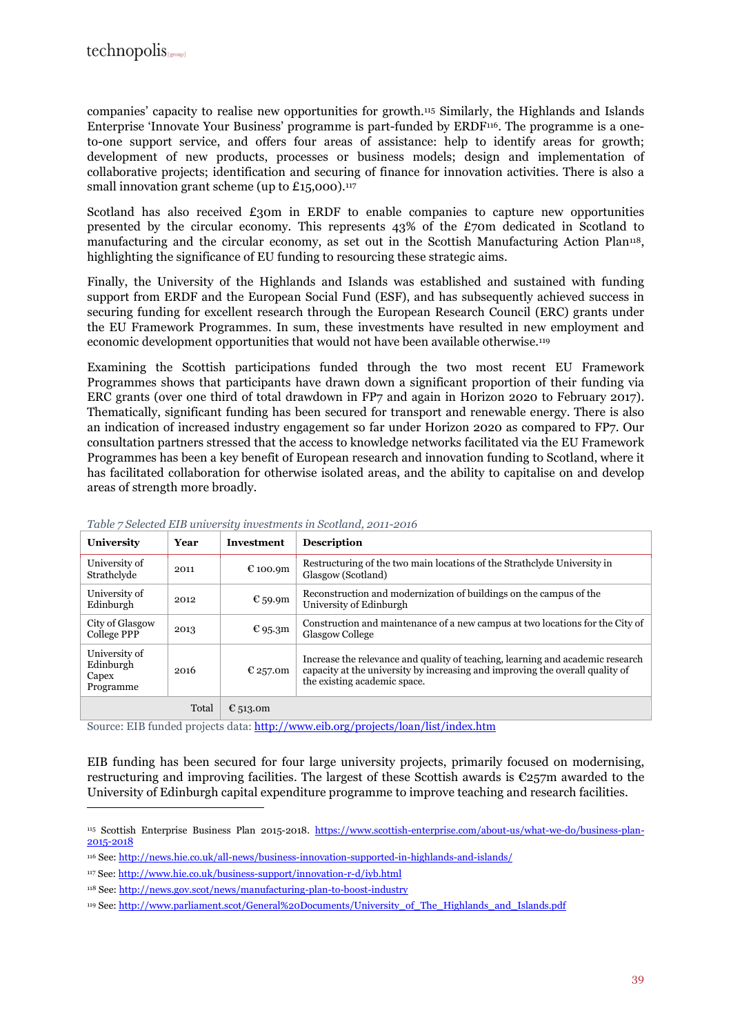companies' capacity to realise new opportunities for growth.115 Similarly, the Highlands and Islands Enterprise 'Innovate Your Business' programme is part-funded by ERDF116. The programme is a oneto-one support service, and offers four areas of assistance: help to identify areas for growth; development of new products, processes or business models; design and implementation of collaborative projects; identification and securing of finance for innovation activities. There is also a small innovation grant scheme (up to  $£15,000$ ).<sup>117</sup>

Scotland has also received £30m in ERDF to enable companies to capture new opportunities presented by the circular economy. This represents 43% of the £70m dedicated in Scotland to manufacturing and the circular economy, as set out in the Scottish Manufacturing Action Plan<sup>118</sup>, highlighting the significance of EU funding to resourcing these strategic aims.

Finally, the University of the Highlands and Islands was established and sustained with funding support from ERDF and the European Social Fund (ESF), and has subsequently achieved success in securing funding for excellent research through the European Research Council (ERC) grants under the EU Framework Programmes. In sum, these investments have resulted in new employment and economic development opportunities that would not have been available otherwise.<sup>119</sup>

Examining the Scottish participations funded through the two most recent EU Framework Programmes shows that participants have drawn down a significant proportion of their funding via ERC grants (over one third of total drawdown in FP7 and again in Horizon 2020 to February 2017). Thematically, significant funding has been secured for transport and renewable energy. There is also an indication of increased industry engagement so far under Horizon 2020 as compared to FP7. Our consultation partners stressed that the access to knowledge networks facilitated via the EU Framework Programmes has been a key benefit of European research and innovation funding to Scotland, where it has facilitated collaboration for otherwise isolated areas, and the ability to capitalise on and develop areas of strength more broadly.

| University                                       | Year  | Investment | <b>Description</b>                                                                                                                                                                              |
|--------------------------------------------------|-------|------------|-------------------------------------------------------------------------------------------------------------------------------------------------------------------------------------------------|
| University of<br>Strathclyde                     | 2011  | € 100.9m   | Restructuring of the two main locations of the Strathclyde University in<br>Glasgow (Scotland)                                                                                                  |
| University of<br>Edinburgh                       | 2012  | € 59.9m    | Reconstruction and modernization of buildings on the campus of the<br>University of Edinburgh                                                                                                   |
| City of Glasgow<br>College PPP                   | 2013  | € 95.3m    | Construction and maintenance of a new campus at two locations for the City of<br><b>Glasgow College</b>                                                                                         |
| University of<br>Edinburgh<br>Capex<br>Programme | 2016  | € 257.0m   | Increase the relevance and quality of teaching, learning and academic research<br>capacity at the university by increasing and improving the overall quality of<br>the existing academic space. |
|                                                  | Total | € 513.0m   |                                                                                                                                                                                                 |

*Table 7 Selected EIB university investments in Scotland, 2011-2016* 

Source: EIB funded projects data: http://www.eib.org/projects/loan/list/index.htm

EIB funding has been secured for four large university projects, primarily focused on modernising, restructuring and improving facilities. The largest of these Scottish awards is €257m awarded to the University of Edinburgh capital expenditure programme to improve teaching and research facilities.

<sup>115</sup> Scottish Enterprise Business Plan 2015-2018. https://www.scottish-enterprise.com/about-us/what-we-do/business-plan-2015-2018

<sup>116</sup> See: http://news.hie.co.uk/all-news/business-innovation-supported-in-highlands-and-islands/

<sup>117</sup> See: http://www.hie.co.uk/business-support/innovation-r-d/iyb.html

<sup>118</sup> See: http://news.gov.scot/news/manufacturing-plan-to-boost-industry

<sup>119</sup> See: http://www.parliament.scot/General%20Documents/University\_of\_The\_Highlands\_and\_Islands.pdf